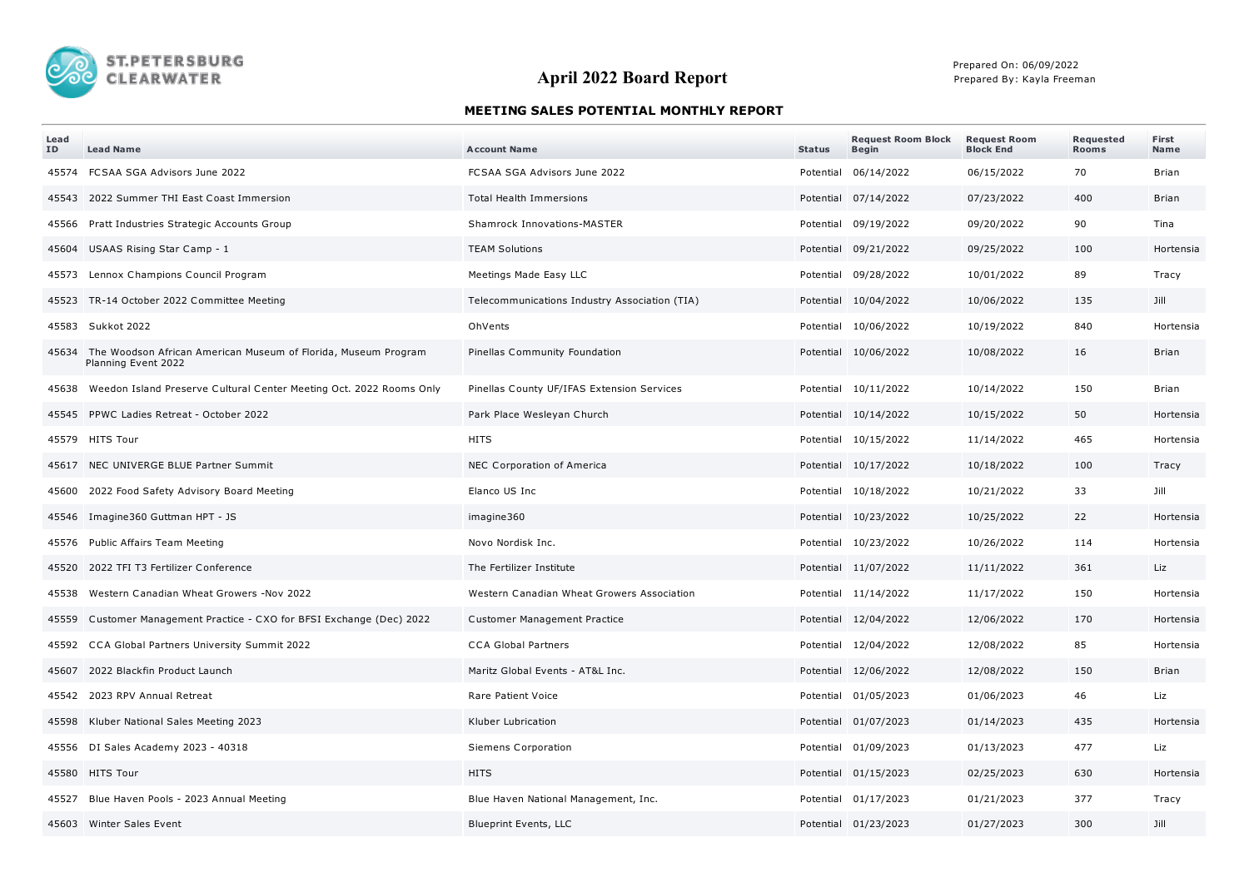

## **April 2022 Board Report**

Prepared On: 06/09/2022 Prepared By: Kayla Freeman

## **MEETING SALES POTENTIAL MONTHLY REPORT**

| Lead<br>ID | <b>Lead Name</b>                                                                            | <b>Account Name</b>                           | <b>Status</b> | <b>Request Room Block</b><br><b>Begin</b> | <b>Request Room</b><br><b>Block End</b> | Requested<br><b>Rooms</b> | First<br>Name |
|------------|---------------------------------------------------------------------------------------------|-----------------------------------------------|---------------|-------------------------------------------|-----------------------------------------|---------------------------|---------------|
|            | 45574 FCSAA SGA Advisors June 2022                                                          | FCSAA SGA Advisors June 2022                  |               | Potential 06/14/2022                      | 06/15/2022                              | 70                        | Brian         |
|            | 45543 2022 Summer THI East Coast Immersion                                                  | Total Health Immersions                       |               | Potential 07/14/2022                      | 07/23/2022                              | 400                       | Brian         |
| 45566      | Pratt Industries Strategic Accounts Group                                                   | Shamrock Innovations-MASTER                   |               | Potential 09/19/2022                      | 09/20/2022                              | 90                        | Tina          |
|            | 45604 USAAS Rising Star Camp - 1                                                            | <b>TEAM Solutions</b>                         |               | Potential 09/21/2022                      | 09/25/2022                              | 100                       | Hortensia     |
|            | 45573 Lennox Champions Council Program                                                      | Meetings Made Easy LLC                        |               | Potential 09/28/2022                      | 10/01/2022                              | 89                        | Tracy         |
|            | 45523 TR-14 October 2022 Committee Meeting                                                  | Telecommunications Industry Association (TIA) |               | Potential 10/04/2022                      | 10/06/2022                              | 135                       | Jill          |
|            | 45583 Sukkot 2022                                                                           | OhVents                                       |               | Potential 10/06/2022                      | 10/19/2022                              | 840                       | Hortensia     |
|            | 45634 The Woodson African American Museum of Florida, Museum Program<br>Planning Event 2022 | Pinellas Community Foundation                 |               | Potential 10/06/2022                      | 10/08/2022                              | 16                        | Brian         |
|            | 45638 Weedon Island Preserve Cultural Center Meeting Oct. 2022 Rooms Only                   | Pinellas County UF/IFAS Extension Services    |               | Potential 10/11/2022                      | 10/14/2022                              | 150                       | Brian         |
|            | 45545 PPWC Ladies Retreat - October 2022                                                    | Park Place Wesleyan Church                    |               | Potential 10/14/2022                      | 10/15/2022                              | 50                        | Hortensia     |
|            | 45579 HITS Tour                                                                             | <b>HITS</b>                                   |               | Potential 10/15/2022                      | 11/14/2022                              | 465                       | Hortensia     |
|            | 45617 NEC UNIVERGE BLUE Partner Summit                                                      | NEC Corporation of America                    |               | Potential 10/17/2022                      | 10/18/2022                              | 100                       | Tracy         |
|            | 45600 2022 Food Safety Advisory Board Meeting                                               | Elanco US Inc                                 |               | Potential 10/18/2022                      | 10/21/2022                              | 33                        | Jill          |
|            | 45546 Imagine 360 Guttman HPT - JS                                                          | imagine360                                    |               | Potential 10/23/2022                      | 10/25/2022                              | 22                        | Hortensia     |
|            | 45576 Public Affairs Team Meeting                                                           | Novo Nordisk Inc.                             |               | Potential 10/23/2022                      | 10/26/2022                              | 114                       | Hortensia     |
|            | 45520 2022 TFI T3 Fertilizer Conference                                                     | The Fertilizer Institute                      |               | Potential 11/07/2022                      | 11/11/2022                              | 361                       | Liz           |
| 45538      | Western Canadian Wheat Growers -Nov 2022                                                    | Western Canadian Wheat Growers Association    |               | Potential 11/14/2022                      | 11/17/2022                              | 150                       | Hortensia     |
|            | 45559 Customer Management Practice - CXO for BFSI Exchange (Dec) 2022                       | Customer Management Practice                  |               | Potential 12/04/2022                      | 12/06/2022                              | 170                       | Hortensia     |
|            | 45592 CCA Global Partners University Summit 2022                                            | <b>CCA Global Partners</b>                    |               | Potential 12/04/2022                      | 12/08/2022                              | 85                        | Hortensia     |
|            | 45607 2022 Blackfin Product Launch                                                          | Maritz Global Events - AT&L Inc.              |               | Potential 12/06/2022                      | 12/08/2022                              | 150                       | Brian         |
|            | 45542 2023 RPV Annual Retreat                                                               | Rare Patient Voice                            |               | Potential 01/05/2023                      | 01/06/2023                              | 46                        | Liz           |
|            | 45598 Kluber National Sales Meeting 2023                                                    | Kluber Lubrication                            |               | Potential 01/07/2023                      | 01/14/2023                              | 435                       | Hortensia     |
|            | 45556 DI Sales Academy 2023 - 40318                                                         | Siemens Corporation                           |               | Potential 01/09/2023                      | 01/13/2023                              | 477                       | Liz           |
|            | 45580 HITS Tour                                                                             | <b>HITS</b>                                   |               | Potential 01/15/2023                      | 02/25/2023                              | 630                       | Hortensia     |
|            | 45527 Blue Haven Pools - 2023 Annual Meeting                                                | Blue Haven National Management, Inc.          |               | Potential 01/17/2023                      | 01/21/2023                              | 377                       | Tracy         |
|            | 45603 Winter Sales Event                                                                    | <b>Blueprint Events, LLC</b>                  |               | Potential 01/23/2023                      | 01/27/2023                              | 300                       | Jill          |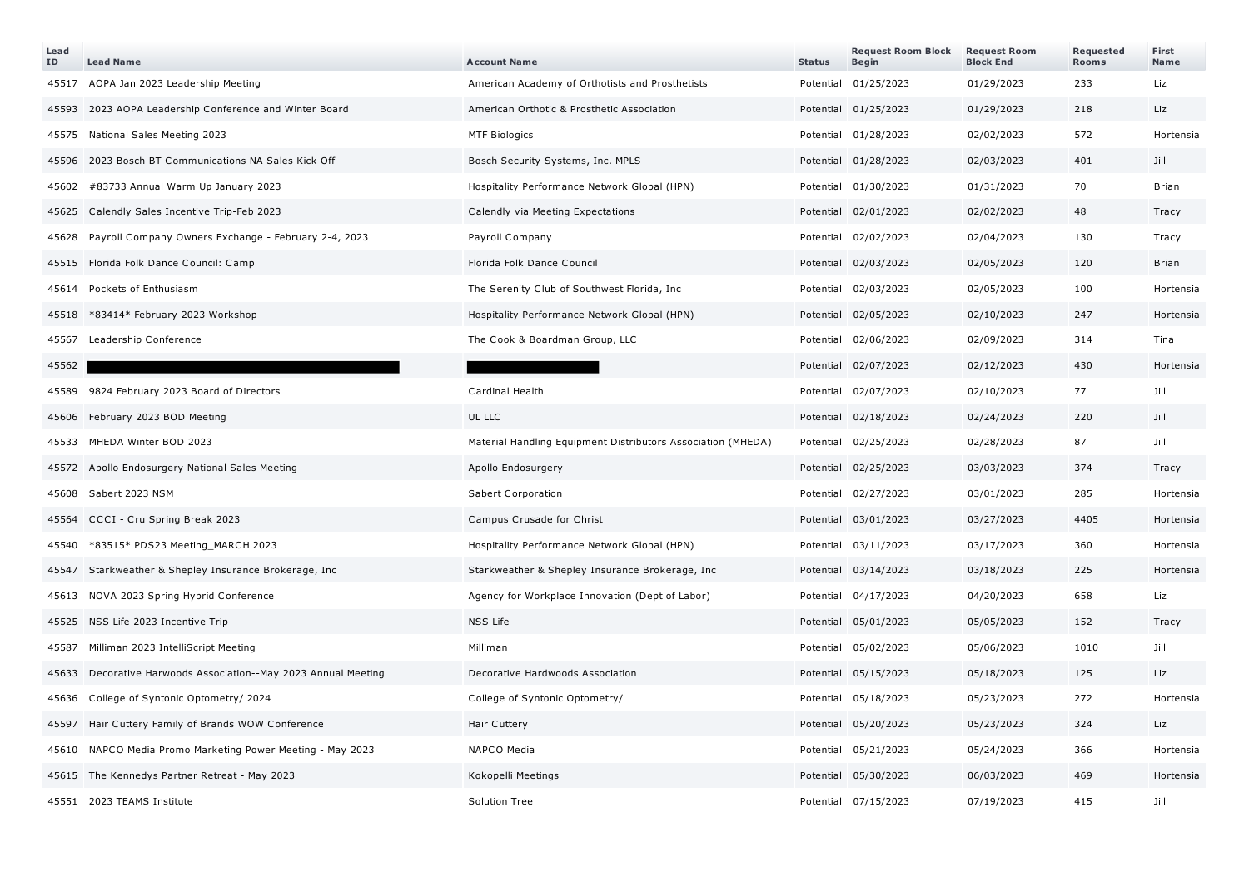| Lead<br>ID | <b>Lead Name</b>                                           | <b>Account Name</b>                                          | <b>Status</b> | <b>Request Room Block</b><br><b>Begin</b> | <b>Request Room</b><br><b>Block End</b> | Requested<br><b>Rooms</b> | First<br>Name |
|------------|------------------------------------------------------------|--------------------------------------------------------------|---------------|-------------------------------------------|-----------------------------------------|---------------------------|---------------|
|            | 45517 AOPA Jan 2023 Leadership Meeting                     | American Academy of Orthotists and Prosthetists              |               | Potential 01/25/2023                      | 01/29/2023                              | 233                       | Liz           |
|            | 45593 2023 AOPA Leadership Conference and Winter Board     | American Orthotic & Prosthetic Association                   |               | Potential 01/25/2023                      | 01/29/2023                              | 218                       | Liz           |
| 45575      | National Sales Meeting 2023                                | <b>MTF Biologics</b>                                         |               | Potential 01/28/2023                      | 02/02/2023                              | 572                       | Hortensia     |
|            | 45596 2023 Bosch BT Communications NA Sales Kick Off       | Bosch Security Systems, Inc. MPLS                            |               | Potential 01/28/2023                      | 02/03/2023                              | 401                       | Jill          |
| 45602      | #83733 Annual Warm Up January 2023                         | Hospitality Performance Network Global (HPN)                 |               | Potential 01/30/2023                      | 01/31/2023                              | 70                        | <b>Brian</b>  |
|            | 45625 Calendly Sales Incentive Trip-Feb 2023               | Calendly via Meeting Expectations                            |               | Potential 02/01/2023                      | 02/02/2023                              | 48                        | Tracy         |
| 45628      | Payroll Company Owners Exchange - February 2-4, 2023       | Payroll Company                                              |               | Potential 02/02/2023                      | 02/04/2023                              | 130                       | Tracy         |
|            | 45515 Florida Folk Dance Council: Camp                     | Florida Folk Dance Council                                   |               | Potential 02/03/2023                      | 02/05/2023                              | 120                       | Brian         |
| 45614      | Pockets of Enthusiasm                                      | The Serenity Club of Southwest Florida, Inc.                 |               | Potential 02/03/2023                      | 02/05/2023                              | 100                       | Hortensia     |
| 45518      | *83414* February 2023 Workshop                             | Hospitality Performance Network Global (HPN)                 |               | Potential 02/05/2023                      | 02/10/2023                              | 247                       | Hortensia     |
| 45567      | Leadership Conference                                      | The Cook & Boardman Group, LLC                               |               | Potential 02/06/2023                      | 02/09/2023                              | 314                       | Tina          |
| 45562      |                                                            |                                                              |               | Potential 02/07/2023                      | 02/12/2023                              | 430                       | Hortensia     |
| 45589      | 9824 February 2023 Board of Directors                      | Cardinal Health                                              |               | Potential 02/07/2023                      | 02/10/2023                              | 77                        | Jill          |
| 45606      | February 2023 BOD Meeting                                  | UL LLC                                                       |               | Potential 02/18/2023                      | 02/24/2023                              | 220                       | Jill          |
| 45533      | MHEDA Winter BOD 2023                                      | Material Handling Equipment Distributors Association (MHEDA) |               | Potential 02/25/2023                      | 02/28/2023                              | 87                        | Jill          |
|            | 45572 Apollo Endosurgery National Sales Meeting            | Apollo Endosurgery                                           |               | Potential 02/25/2023                      | 03/03/2023                              | 374                       | Tracy         |
|            | 45608 Sabert 2023 NSM                                      | Sabert Corporation                                           |               | Potential 02/27/2023                      | 03/01/2023                              | 285                       | Hortensia     |
| 45564      | CCCI - Cru Spring Break 2023                               | Campus Crusade for Christ                                    |               | Potential 03/01/2023                      | 03/27/2023                              | 4405                      | Hortensia     |
| 45540      | *83515* PDS23 Meeting_MARCH 2023                           | Hospitality Performance Network Global (HPN)                 |               | Potential 03/11/2023                      | 03/17/2023                              | 360                       | Hortensia     |
| 45547      | Starkweather & Shepley Insurance Brokerage, Inc.           | Starkweather & Shepley Insurance Brokerage, Inc.             |               | Potential 03/14/2023                      | 03/18/2023                              | 225                       | Hortensia     |
|            | 45613 NOVA 2023 Spring Hybrid Conference                   | Agency for Workplace Innovation (Dept of Labor)              |               | Potential 04/17/2023                      | 04/20/2023                              | 658                       | Liz           |
|            | 45525 NSS Life 2023 Incentive Trip                         | NSS Life                                                     |               | Potential 05/01/2023                      | 05/05/2023                              | 152                       | Tracy         |
| 45587      | Milliman 2023 IntelliScript Meeting                        | Milliman                                                     |               | Potential 05/02/2023                      | 05/06/2023                              | 1010                      | Jill          |
| 45633      | Decorative Harwoods Association--May 2023 Annual Meeting   | Decorative Hardwoods Association                             |               | Potential 05/15/2023                      | 05/18/2023                              | 125                       | Liz           |
|            | 45636 College of Syntonic Optometry/ 2024                  | College of Syntonic Optometry/                               |               | Potential 05/18/2023                      | 05/23/2023                              | 272                       | Hortensia     |
| 45597      | Hair Cuttery Family of Brands WOW Conference               | Hair Cuttery                                                 |               | Potential 05/20/2023                      | 05/23/2023                              | 324                       | Liz           |
|            | 45610 NAPCO Media Promo Marketing Power Meeting - May 2023 | NAPCO Media                                                  |               | Potential 05/21/2023                      | 05/24/2023                              | 366                       | Hortensia     |
|            | 45615 The Kennedys Partner Retreat - May 2023              | Kokopelli Meetings                                           |               | Potential 05/30/2023                      | 06/03/2023                              | 469                       | Hortensia     |
|            | 45551 2023 TEAMS Institute                                 | Solution Tree                                                |               | Potential 07/15/2023                      | 07/19/2023                              | 415                       | Jill          |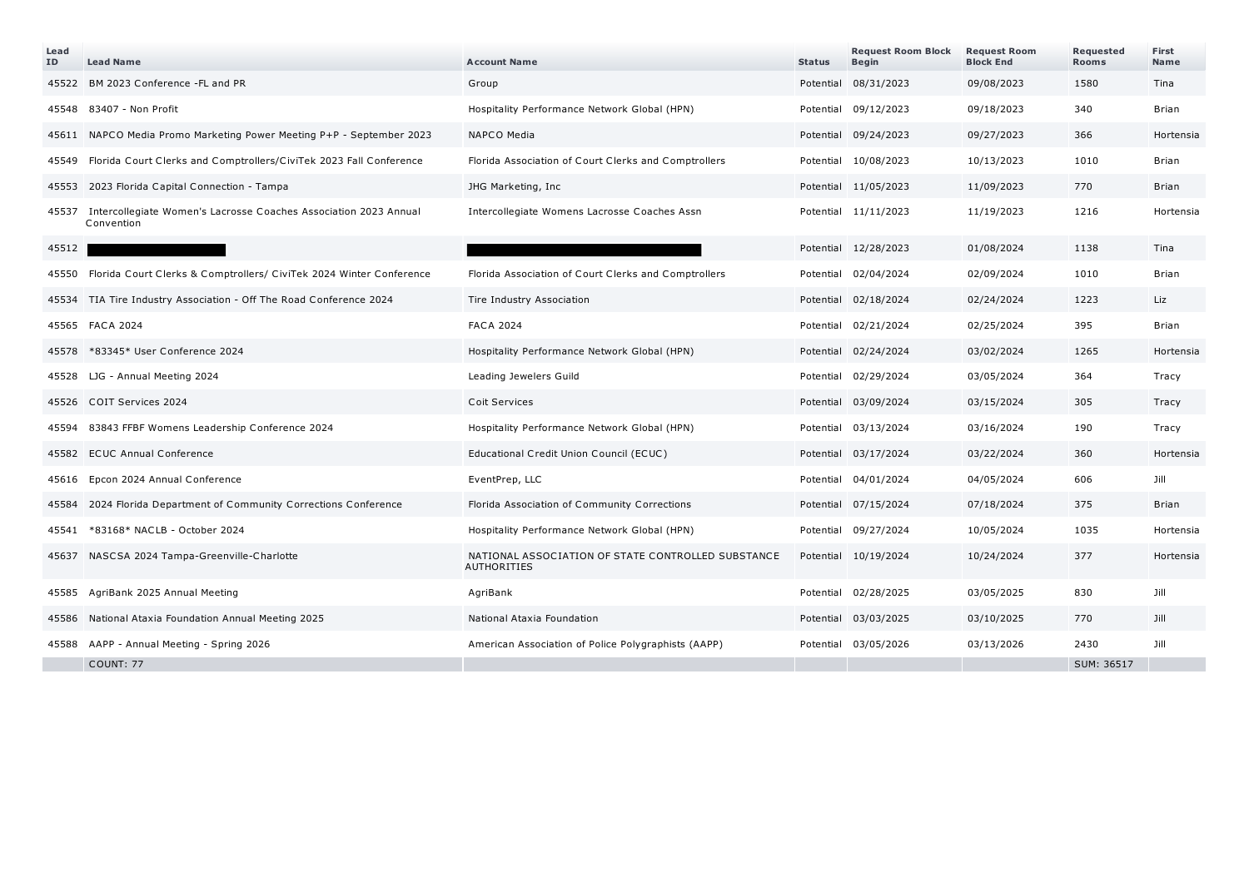| Lead<br>ID | <b>Lead Name</b>                                                               | <b>Account Name</b>                                                      | <b>Status</b> | <b>Request Room Block</b><br><b>Begin</b> | <b>Request Room</b><br><b>Block End</b> | Requested<br><b>Rooms</b> | First<br>Name |
|------------|--------------------------------------------------------------------------------|--------------------------------------------------------------------------|---------------|-------------------------------------------|-----------------------------------------|---------------------------|---------------|
|            | 45522 BM 2023 Conference -FL and PR                                            | Group                                                                    |               | Potential 08/31/2023                      | 09/08/2023                              | 1580                      | Tina          |
| 45548      | 83407 - Non Profit                                                             | Hospitality Performance Network Global (HPN)                             |               | Potential 09/12/2023                      | 09/18/2023                              | 340                       | Brian         |
|            | 45611 NAPCO Media Promo Marketing Power Meeting P+P - September 2023           | NAPCO Media                                                              |               | Potential 09/24/2023                      | 09/27/2023                              | 366                       | Hortensia     |
| 45549      | Florida Court Clerks and Comptrollers/CiviTek 2023 Fall Conference             | Florida Association of Court Clerks and Comptrollers                     |               | Potential 10/08/2023                      | 10/13/2023                              | 1010                      | Brian         |
|            | 45553 2023 Florida Capital Connection - Tampa                                  | JHG Marketing, Inc                                                       |               | Potential 11/05/2023                      | 11/09/2023                              | 770                       | Brian         |
| 45537      | Intercollegiate Women's Lacrosse Coaches Association 2023 Annual<br>Convention | Intercollegiate Womens Lacrosse Coaches Assn                             |               | Potential 11/11/2023                      | 11/19/2023                              | 1216                      | Hortensia     |
| 45512      |                                                                                |                                                                          |               | Potential 12/28/2023                      | 01/08/2024                              | 1138                      | Tina          |
|            | 45550 Florida Court Clerks & Comptrollers/ CiviTek 2024 Winter Conference      | Florida Association of Court Clerks and Comptrollers                     |               | Potential 02/04/2024                      | 02/09/2024                              | 1010                      | Brian         |
|            | 45534 TIA Tire Industry Association - Off The Road Conference 2024             | Tire Industry Association                                                |               | Potential 02/18/2024                      | 02/24/2024                              | 1223                      | Liz           |
|            | 45565 FACA 2024                                                                | <b>FACA 2024</b>                                                         |               | Potential 02/21/2024                      | 02/25/2024                              | 395                       | Brian         |
|            | 45578 *83345* User Conference 2024                                             | Hospitality Performance Network Global (HPN)                             |               | Potential 02/24/2024                      | 03/02/2024                              | 1265                      | Hortensia     |
| 45528      | LJG - Annual Meeting 2024                                                      | Leading Jewelers Guild                                                   |               | Potential 02/29/2024                      | 03/05/2024                              | 364                       | Tracy         |
|            | 45526 COIT Services 2024                                                       | <b>Coit Services</b>                                                     |               | Potential 03/09/2024                      | 03/15/2024                              | 305                       | Tracy         |
| 45594      | 83843 FFBF Womens Leadership Conference 2024                                   | Hospitality Performance Network Global (HPN)                             |               | Potential 03/13/2024                      | 03/16/2024                              | 190                       | Tracy         |
|            | 45582 ECUC Annual Conference                                                   | Educational Credit Union Council (ECUC)                                  |               | Potential 03/17/2024                      | 03/22/2024                              | 360                       | Hortensia     |
| 45616      | Epcon 2024 Annual Conference                                                   | EventPrep, LLC                                                           |               | Potential 04/01/2024                      | 04/05/2024                              | 606                       | Jill          |
|            | 45584 2024 Florida Department of Community Corrections Conference              | Florida Association of Community Corrections                             |               | Potential 07/15/2024                      | 07/18/2024                              | 375                       | Brian         |
| 45541      | *83168* NACLB - October 2024                                                   | Hospitality Performance Network Global (HPN)                             |               | Potential 09/27/2024                      | 10/05/2024                              | 1035                      | Hortensia     |
|            | 45637 NASCSA 2024 Tampa-Greenville-Charlotte                                   | NATIONAL ASSOCIATION OF STATE CONTROLLED SUBSTANCE<br><b>AUTHORITIES</b> |               | Potential 10/19/2024                      | 10/24/2024                              | 377                       | Hortensia     |
|            | 45585 AgriBank 2025 Annual Meeting                                             | AgriBank                                                                 |               | Potential 02/28/2025                      | 03/05/2025                              | 830                       | Jill          |
|            | 45586 National Ataxia Foundation Annual Meeting 2025                           | National Ataxia Foundation                                               |               | Potential 03/03/2025                      | 03/10/2025                              | 770                       | Jill          |
|            | 45588 AAPP - Annual Meeting - Spring 2026                                      | American Association of Police Polygraphists (AAPP)                      |               | Potential 03/05/2026                      | 03/13/2026                              | 2430                      | Jill          |
|            | <b>COUNT: 77</b>                                                               |                                                                          |               |                                           |                                         | SUM: 36517                |               |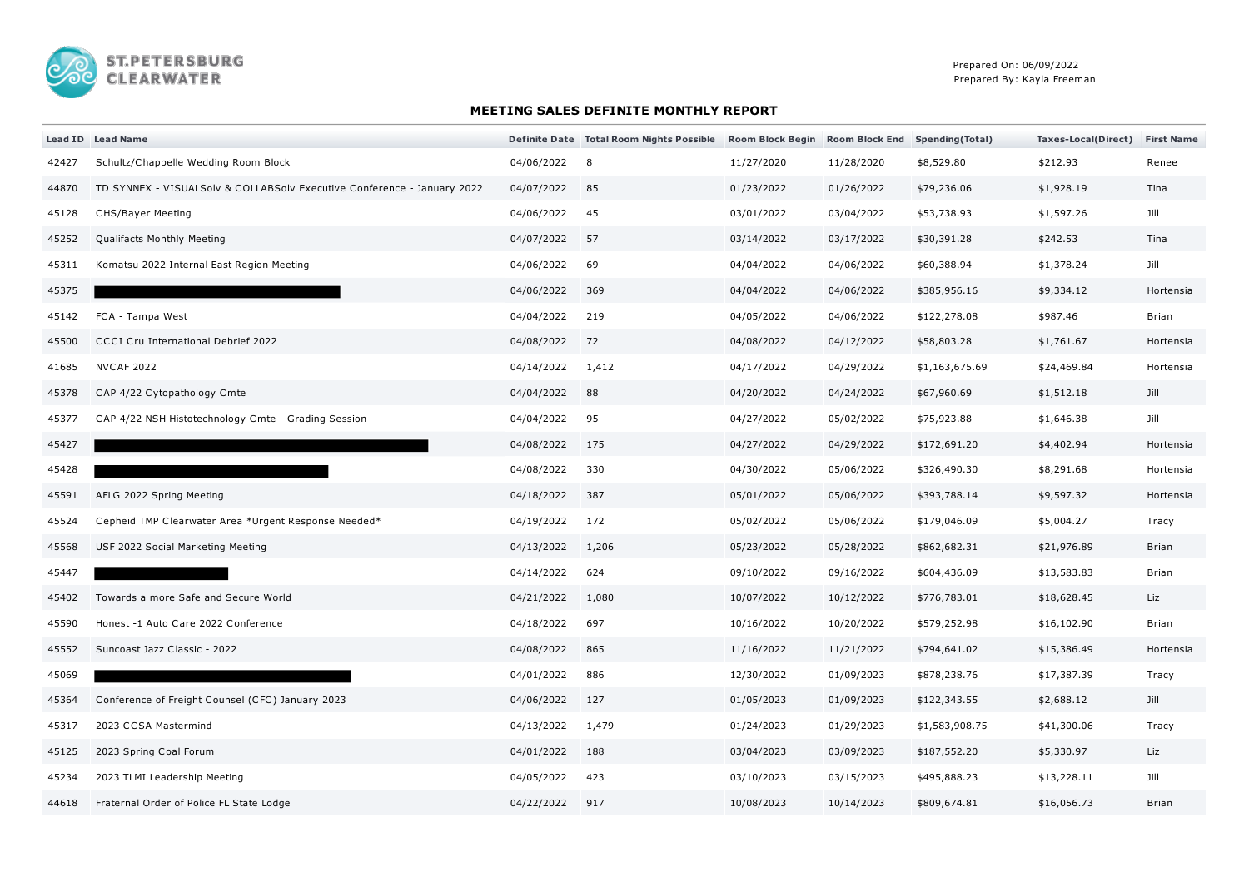

## **MEETING SALES DEFINITE MONTHLY REPORT**

|       | Lead ID Lead Name                                                       |            | Definite Date Total Room Nights Possible | Room Block Begin Room Block End Spending (Total) |            |                | Taxes-Local(Direct) | <b>First Name</b> |
|-------|-------------------------------------------------------------------------|------------|------------------------------------------|--------------------------------------------------|------------|----------------|---------------------|-------------------|
| 42427 | Schultz/Chappelle Wedding Room Block                                    | 04/06/2022 | 8                                        | 11/27/2020                                       | 11/28/2020 | \$8,529.80     | \$212.93            | Renee             |
| 44870 | TD SYNNEX - VISUALSolv & COLLABSolv Executive Conference - January 2022 | 04/07/2022 | 85                                       | 01/23/2022                                       | 01/26/2022 | \$79,236.06    | \$1,928.19          | Tina              |
| 45128 | <b>CHS/Bayer Meeting</b>                                                | 04/06/2022 | 45                                       | 03/01/2022                                       | 03/04/2022 | \$53,738.93    | \$1,597.26          | Jill              |
| 45252 | Qualifacts Monthly Meeting                                              | 04/07/2022 | 57                                       | 03/14/2022                                       | 03/17/2022 | \$30,391.28    | \$242.53            | Tina              |
| 45311 | Komatsu 2022 Internal East Region Meeting                               | 04/06/2022 | 69                                       | 04/04/2022                                       | 04/06/2022 | \$60,388.94    | \$1,378.24          | Jill              |
| 45375 |                                                                         | 04/06/2022 | 369                                      | 04/04/2022                                       | 04/06/2022 | \$385,956.16   | \$9,334.12          | Hortensia         |
| 45142 | FCA - Tampa West                                                        | 04/04/2022 | 219                                      | 04/05/2022                                       | 04/06/2022 | \$122,278.08   | \$987.46            | Brian             |
| 45500 | <b>CCCI Cru International Debrief 2022</b>                              | 04/08/2022 | 72                                       | 04/08/2022                                       | 04/12/2022 | \$58,803.28    | \$1,761.67          | Hortensia         |
| 41685 | <b>NVCAF 2022</b>                                                       | 04/14/2022 | 1,412                                    | 04/17/2022                                       | 04/29/2022 | \$1,163,675.69 | \$24,469.84         | Hortensia         |
| 45378 | CAP 4/22 Cytopathology Cmte                                             | 04/04/2022 | 88                                       | 04/20/2022                                       | 04/24/2022 | \$67,960.69    | \$1,512.18          | Jill              |
| 45377 | CAP 4/22 NSH Histotechnology Cmte - Grading Session                     | 04/04/2022 | 95                                       | 04/27/2022                                       | 05/02/2022 | \$75,923.88    | \$1,646.38          | Jill              |
| 45427 |                                                                         | 04/08/2022 | 175                                      | 04/27/2022                                       | 04/29/2022 | \$172,691.20   | \$4,402.94          | Hortensia         |
| 45428 |                                                                         | 04/08/2022 | 330                                      | 04/30/2022                                       | 05/06/2022 | \$326,490.30   | \$8,291.68          | Hortensia         |
| 45591 | AFLG 2022 Spring Meeting                                                | 04/18/2022 | 387                                      | 05/01/2022                                       | 05/06/2022 | \$393,788.14   | \$9,597.32          | Hortensia         |
| 45524 | Cepheid TMP Clearwater Area *Urgent Response Needed*                    | 04/19/2022 | 172                                      | 05/02/2022                                       | 05/06/2022 | \$179,046.09   | \$5,004.27          | Tracy             |
| 45568 | USF 2022 Social Marketing Meeting                                       | 04/13/2022 | 1,206                                    | 05/23/2022                                       | 05/28/2022 | \$862,682.31   | \$21,976.89         | <b>Brian</b>      |
| 45447 |                                                                         | 04/14/2022 | 624                                      | 09/10/2022                                       | 09/16/2022 | \$604,436.09   | \$13,583.83         | Brian             |
| 45402 | Towards a more Safe and Secure World                                    | 04/21/2022 | 1,080                                    | 10/07/2022                                       | 10/12/2022 | \$776,783.01   | \$18,628.45         | Liz               |
| 45590 | Honest -1 Auto Care 2022 Conference                                     | 04/18/2022 | 697                                      | 10/16/2022                                       | 10/20/2022 | \$579,252.98   | \$16,102.90         | Brian             |
| 45552 | Suncoast Jazz Classic - 2022                                            | 04/08/2022 | 865                                      | 11/16/2022                                       | 11/21/2022 | \$794,641.02   | \$15,386.49         | Hortensia         |
| 45069 |                                                                         | 04/01/2022 | 886                                      | 12/30/2022                                       | 01/09/2023 | \$878,238.76   | \$17,387.39         | Tracy             |
| 45364 | Conference of Freight Counsel (CFC) January 2023                        | 04/06/2022 | 127                                      | 01/05/2023                                       | 01/09/2023 | \$122,343.55   | \$2,688.12          | Jill              |
| 45317 | 2023 CCSA Mastermind                                                    | 04/13/2022 | 1,479                                    | 01/24/2023                                       | 01/29/2023 | \$1,583,908.75 | \$41,300.06         | Tracy             |
| 45125 | 2023 Spring Coal Forum                                                  | 04/01/2022 | 188                                      | 03/04/2023                                       | 03/09/2023 | \$187,552.20   | \$5,330.97          | Liz               |
| 45234 | 2023 TLMI Leadership Meeting                                            | 04/05/2022 | 423                                      | 03/10/2023                                       | 03/15/2023 | \$495,888.23   | \$13,228.11         | Jill              |
| 44618 | Fraternal Order of Police FL State Lodge                                | 04/22/2022 | 917                                      | 10/08/2023                                       | 10/14/2023 | \$809,674.81   | \$16,056.73         | <b>Brian</b>      |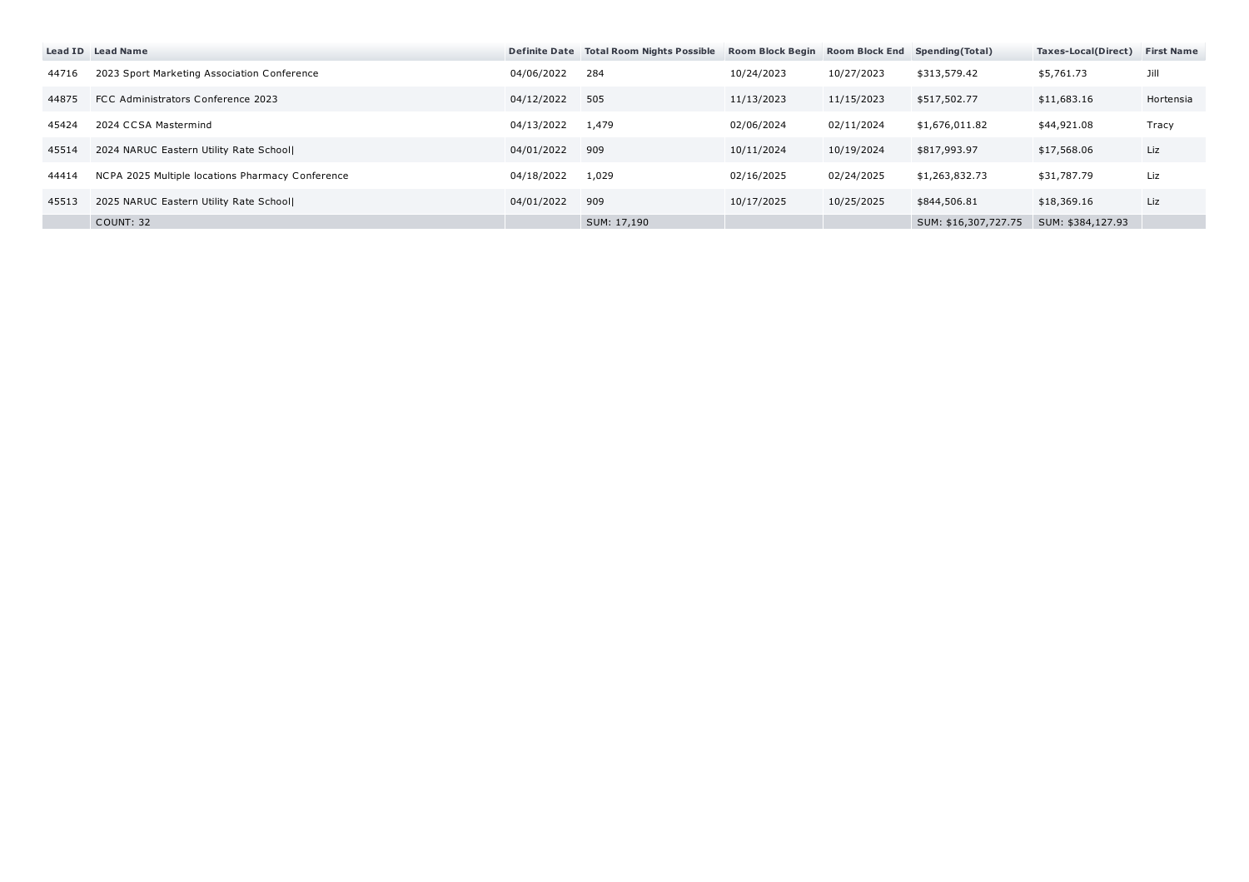|       | Lead ID Lead Name                                |            | Definite Date Total Room Nights Possible | Room Block Begin Room Block End Spending (Total) |            |                      | Taxes-Local(Direct) | <b>First Name</b> |
|-------|--------------------------------------------------|------------|------------------------------------------|--------------------------------------------------|------------|----------------------|---------------------|-------------------|
| 44716 | 2023 Sport Marketing Association Conference      | 04/06/2022 | 284                                      | 10/24/2023                                       | 10/27/2023 | \$313,579.42         | \$5,761.73          | Jill              |
| 44875 | FCC Administrators Conference 2023               | 04/12/2022 | 505                                      | 11/13/2023                                       | 11/15/2023 | \$517,502.77         | \$11,683.16         | Hortensia         |
| 45424 | 2024 CCSA Mastermind                             | 04/13/2022 | 1,479                                    | 02/06/2024                                       | 02/11/2024 | \$1,676,011.82       | \$44,921.08         | Tracy             |
| 45514 | 2024 NARUC Eastern Utility Rate School           | 04/01/2022 | 909                                      | 10/11/2024                                       | 10/19/2024 | \$817,993.97         | \$17,568.06         | Liz               |
| 44414 | NCPA 2025 Multiple locations Pharmacy Conference | 04/18/2022 | 1,029                                    | 02/16/2025                                       | 02/24/2025 | \$1,263,832.73       | \$31,787.79         | Liz               |
| 45513 | 2025 NARUC Eastern Utility Rate School           | 04/01/2022 | 909                                      | 10/17/2025                                       | 10/25/2025 | \$844,506.81         | \$18,369.16         | Liz               |
|       | COUNT: 32                                        |            | SUM: 17,190                              |                                                  |            | SUM: \$16,307,727.75 | SUM: \$384,127.93   |                   |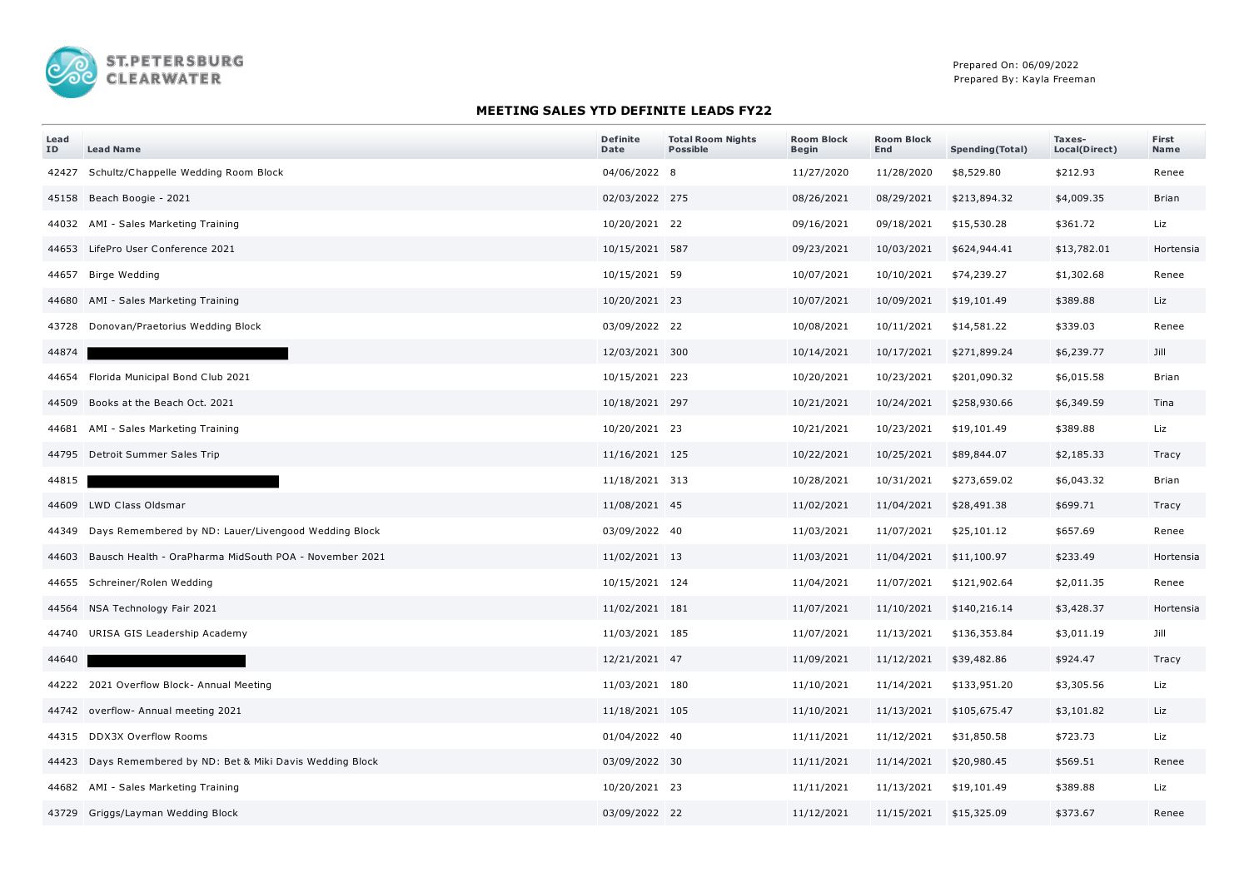

## **MEETING SALES YTD DEFINITE LEADS FY22**

| Lead<br>ID | <b>Lead Name</b>                                             | <b>Definite</b><br>Date | <b>Total Room Nights</b><br><b>Possible</b> | <b>Room Block</b><br><b>Begin</b> | <b>Room Block</b><br>End | <b>Spending(Total)</b> | Taxes-<br>Local(Direct) | First<br>Name |
|------------|--------------------------------------------------------------|-------------------------|---------------------------------------------|-----------------------------------|--------------------------|------------------------|-------------------------|---------------|
| 42427      | Schultz/Chappelle Wedding Room Block                         | 04/06/2022 8            |                                             | 11/27/2020                        | 11/28/2020               | \$8,529.80             | \$212.93                | Renee         |
|            | 45158 Beach Boogie - 2021                                    | 02/03/2022 275          |                                             | 08/26/2021                        | 08/29/2021               | \$213,894.32           | \$4,009.35              | Brian         |
|            | 44032 AMI - Sales Marketing Training                         | 10/20/2021 22           |                                             | 09/16/2021                        | 09/18/2021               | \$15,530.28            | \$361.72                | Liz           |
|            | 44653 LifePro User Conference 2021                           | 10/15/2021 587          |                                             | 09/23/2021                        | 10/03/2021               | \$624,944.41           | \$13,782.01             | Hortensia     |
| 44657      | <b>Birge Wedding</b>                                         | 10/15/2021 59           |                                             | 10/07/2021                        | 10/10/2021               | \$74,239.27            | \$1,302.68              | Renee         |
|            | 44680 AMI - Sales Marketing Training                         | 10/20/2021 23           |                                             | 10/07/2021                        | 10/09/2021               | \$19,101.49            | \$389.88                | Liz           |
|            | 43728 Donovan/Praetorius Wedding Block                       | 03/09/2022 22           |                                             | 10/08/2021                        | 10/11/2021               | \$14,581.22            | \$339.03                | Renee         |
| 44874      |                                                              | 12/03/2021 300          |                                             | 10/14/2021                        | 10/17/2021               | \$271,899.24           | \$6,239.77              | Jill          |
|            | 44654 Florida Municipal Bond Club 2021                       | 10/15/2021 223          |                                             | 10/20/2021                        | 10/23/2021               | \$201,090.32           | \$6,015.58              | Brian         |
|            | 44509 Books at the Beach Oct. 2021                           | 10/18/2021 297          |                                             | 10/21/2021                        | 10/24/2021               | \$258,930.66           | \$6,349.59              | Tina          |
|            | 44681 AMI - Sales Marketing Training                         | 10/20/2021 23           |                                             | 10/21/2021                        | 10/23/2021               | \$19,101.49            | \$389.88                | Liz           |
|            | 44795 Detroit Summer Sales Trip                              | 11/16/2021 125          |                                             | 10/22/2021                        | 10/25/2021               | \$89,844.07            | \$2,185.33              | Tracy         |
| 44815      |                                                              | 11/18/2021 313          |                                             | 10/28/2021                        | 10/31/2021               | \$273,659.02           | \$6,043.32              | <b>Brian</b>  |
|            | 44609 LWD Class Oldsmar                                      | 11/08/2021 45           |                                             | 11/02/2021                        | 11/04/2021               | \$28,491.38            | \$699.71                | Tracy         |
|            | 44349 Days Remembered by ND: Lauer/Livengood Wedding Block   | 03/09/2022 40           |                                             | 11/03/2021                        | 11/07/2021               | \$25,101.12            | \$657.69                | Renee         |
|            | 44603 Bausch Health - OraPharma MidSouth POA - November 2021 | 11/02/2021 13           |                                             | 11/03/2021                        | 11/04/2021               | \$11,100.97            | \$233.49                | Hortensia     |
|            | 44655 Schreiner/Rolen Wedding                                | 10/15/2021 124          |                                             | 11/04/2021                        | 11/07/2021               | \$121,902.64           | \$2,011.35              | Renee         |
|            | 44564 NSA Technology Fair 2021                               | 11/02/2021 181          |                                             | 11/07/2021                        | 11/10/2021               | \$140,216.14           | \$3,428.37              | Hortensia     |
|            | 44740 URISA GIS Leadership Academy                           | 11/03/2021 185          |                                             | 11/07/2021                        | 11/13/2021               | \$136,353.84           | \$3,011.19              | Jill          |
| 44640      |                                                              | 12/21/2021 47           |                                             | 11/09/2021                        | 11/12/2021               | \$39,482.86            | \$924.47                | Tracy         |
|            | 44222 2021 Overflow Block- Annual Meeting                    | 11/03/2021 180          |                                             | 11/10/2021                        | 11/14/2021               | \$133,951.20           | \$3,305.56              | Liz           |
|            | 44742 overflow- Annual meeting 2021                          | 11/18/2021 105          |                                             | 11/10/2021                        | 11/13/2021               | \$105,675.47           | \$3,101.82              | Liz           |
|            | 44315 DDX3X Overflow Rooms                                   | 01/04/2022 40           |                                             | 11/11/2021                        | 11/12/2021               | \$31,850.58            | \$723.73                | Liz           |
|            | 44423 Days Remembered by ND: Bet & Miki Davis Wedding Block  | 03/09/2022 30           |                                             | 11/11/2021                        | 11/14/2021               | \$20,980.45            | \$569.51                | Renee         |
|            | 44682 AMI - Sales Marketing Training                         | 10/20/2021 23           |                                             | 11/11/2021                        | 11/13/2021               | \$19,101.49            | \$389.88                | Liz           |
|            | 43729 Griggs/Layman Wedding Block                            | 03/09/2022 22           |                                             | 11/12/2021                        | 11/15/2021               | \$15,325.09            | \$373.67                | Renee         |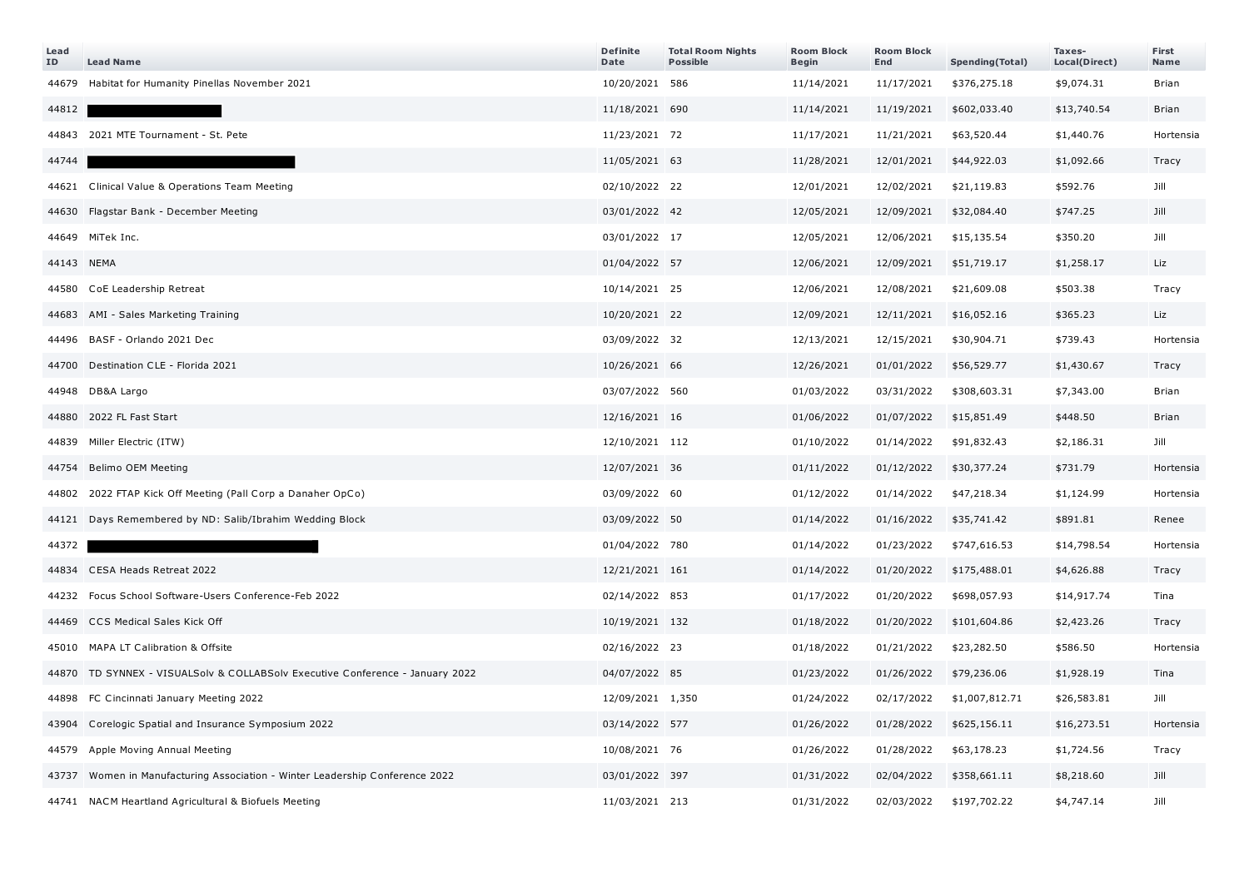| Lead<br>ID | <b>Lead Name</b>                                                              | <b>Definite</b><br>Date | <b>Total Room Nights</b><br><b>Possible</b> | <b>Room Block</b><br><b>Begin</b> | <b>Room Block</b><br>End | Spending(Total) | Taxes-<br>Local(Direct) | First<br>Name |
|------------|-------------------------------------------------------------------------------|-------------------------|---------------------------------------------|-----------------------------------|--------------------------|-----------------|-------------------------|---------------|
|            | 44679 Habitat for Humanity Pinellas November 2021                             | 10/20/2021 586          |                                             | 11/14/2021                        | 11/17/2021               | \$376,275.18    | \$9,074.31              | <b>Brian</b>  |
| 44812      |                                                                               | 11/18/2021 690          |                                             | 11/14/2021                        | 11/19/2021               | \$602,033.40    | \$13,740.54             | <b>Brian</b>  |
|            | 44843 2021 MTE Tournament - St. Pete                                          | 11/23/2021 72           |                                             | 11/17/2021                        | 11/21/2021               | \$63,520.44     | \$1,440.76              | Hortensia     |
| 44744      |                                                                               | 11/05/2021 63           |                                             | 11/28/2021                        | 12/01/2021               | \$44,922.03     | \$1,092.66              | Tracy         |
|            | 44621 Clinical Value & Operations Team Meeting                                | 02/10/2022 22           |                                             | 12/01/2021                        | 12/02/2021               | \$21,119.83     | \$592.76                | Jill          |
|            | 44630 Flagstar Bank - December Meeting                                        | 03/01/2022 42           |                                             | 12/05/2021                        | 12/09/2021               | \$32,084.40     | \$747.25                | Jill          |
|            | 44649 MiTek Inc.                                                              | 03/01/2022 17           |                                             | 12/05/2021                        | 12/06/2021               | \$15,135.54     | \$350.20                | Jill          |
| 44143 NEMA |                                                                               | 01/04/2022 57           |                                             | 12/06/2021                        | 12/09/2021               | \$51,719.17     | \$1,258.17              | Liz           |
|            | 44580 CoE Leadership Retreat                                                  | 10/14/2021 25           |                                             | 12/06/2021                        | 12/08/2021               | \$21,609.08     | \$503.38                | Tracy         |
|            | 44683 AMI - Sales Marketing Training                                          | 10/20/2021 22           |                                             | 12/09/2021                        | 12/11/2021               | \$16,052.16     | \$365.23                | Liz           |
|            | 44496 BASF - Orlando 2021 Dec                                                 | 03/09/2022 32           |                                             | 12/13/2021                        | 12/15/2021               | \$30,904.71     | \$739.43                | Hortensia     |
|            | 44700 Destination CLE - Florida 2021                                          | 10/26/2021 66           |                                             | 12/26/2021                        | 01/01/2022               | \$56,529.77     | \$1,430.67              | Tracy         |
|            | 44948 DB&A Largo                                                              | 03/07/2022 560          |                                             | 01/03/2022                        | 03/31/2022               | \$308,603.31    | \$7,343.00              | <b>Brian</b>  |
|            | 44880 2022 FL Fast Start                                                      | 12/16/2021 16           |                                             | 01/06/2022                        | 01/07/2022               | \$15,851.49     | \$448.50                | <b>Brian</b>  |
|            | 44839 Miller Electric (ITW)                                                   | 12/10/2021 112          |                                             | 01/10/2022                        | 01/14/2022               | \$91,832.43     | \$2,186.31              | Jill          |
|            | 44754 Belimo OEM Meeting                                                      | 12/07/2021 36           |                                             | 01/11/2022                        | 01/12/2022               | \$30,377.24     | \$731.79                | Hortensia     |
|            | 44802 2022 FTAP Kick Off Meeting (Pall Corp a Danaher OpCo)                   | 03/09/2022 60           |                                             | 01/12/2022                        | 01/14/2022               | \$47,218.34     | \$1,124.99              | Hortensia     |
|            | 44121 Days Remembered by ND: Salib/Ibrahim Wedding Block                      | 03/09/2022 50           |                                             | 01/14/2022                        | 01/16/2022               | \$35,741.42     | \$891.81                | Renee         |
| 44372      |                                                                               | 01/04/2022 780          |                                             | 01/14/2022                        | 01/23/2022               | \$747,616.53    | \$14,798.54             | Hortensia     |
|            | 44834 CESA Heads Retreat 2022                                                 | 12/21/2021 161          |                                             | 01/14/2022                        | 01/20/2022               | \$175,488.01    | \$4,626.88              | Tracy         |
|            | 44232 Focus School Software-Users Conference-Feb 2022                         | 02/14/2022 853          |                                             | 01/17/2022                        | 01/20/2022               | \$698,057.93    | \$14,917.74             | Tina          |
|            | 44469 CCS Medical Sales Kick Off                                              | 10/19/2021 132          |                                             | 01/18/2022                        | 01/20/2022               | \$101,604.86    | \$2,423.26              | Tracy         |
|            | 45010 MAPA LT Calibration & Offsite                                           | 02/16/2022 23           |                                             | 01/18/2022                        | 01/21/2022               | \$23,282.50     | \$586.50                | Hortensia     |
|            | 44870 TD SYNNEX - VISUALSolv & COLLABSolv Executive Conference - January 2022 | 04/07/2022 85           |                                             | 01/23/2022                        | 01/26/2022               | \$79,236.06     | \$1,928.19              | Tina          |
|            | 44898 FC Cincinnati January Meeting 2022                                      | 12/09/2021 1,350        |                                             | 01/24/2022                        | 02/17/2022               | \$1,007,812.71  | \$26,583.81             | Jill          |
|            | 43904 Corelogic Spatial and Insurance Symposium 2022                          | 03/14/2022 577          |                                             | 01/26/2022                        | 01/28/2022               | \$625,156.11    | \$16,273.51             | Hortensia     |
|            | 44579 Apple Moving Annual Meeting                                             | 10/08/2021 76           |                                             | 01/26/2022                        | 01/28/2022               | \$63,178.23     | \$1,724.56              | Tracy         |
|            | 43737 Women in Manufacturing Association - Winter Leadership Conference 2022  | 03/01/2022 397          |                                             | 01/31/2022                        | 02/04/2022               | \$358,661.11    | \$8,218.60              | Jill          |
|            | 44741 NACM Heartland Agricultural & Biofuels Meeting                          | 11/03/2021 213          |                                             | 01/31/2022                        | 02/03/2022               | \$197,702.22    | \$4,747.14              | Jill          |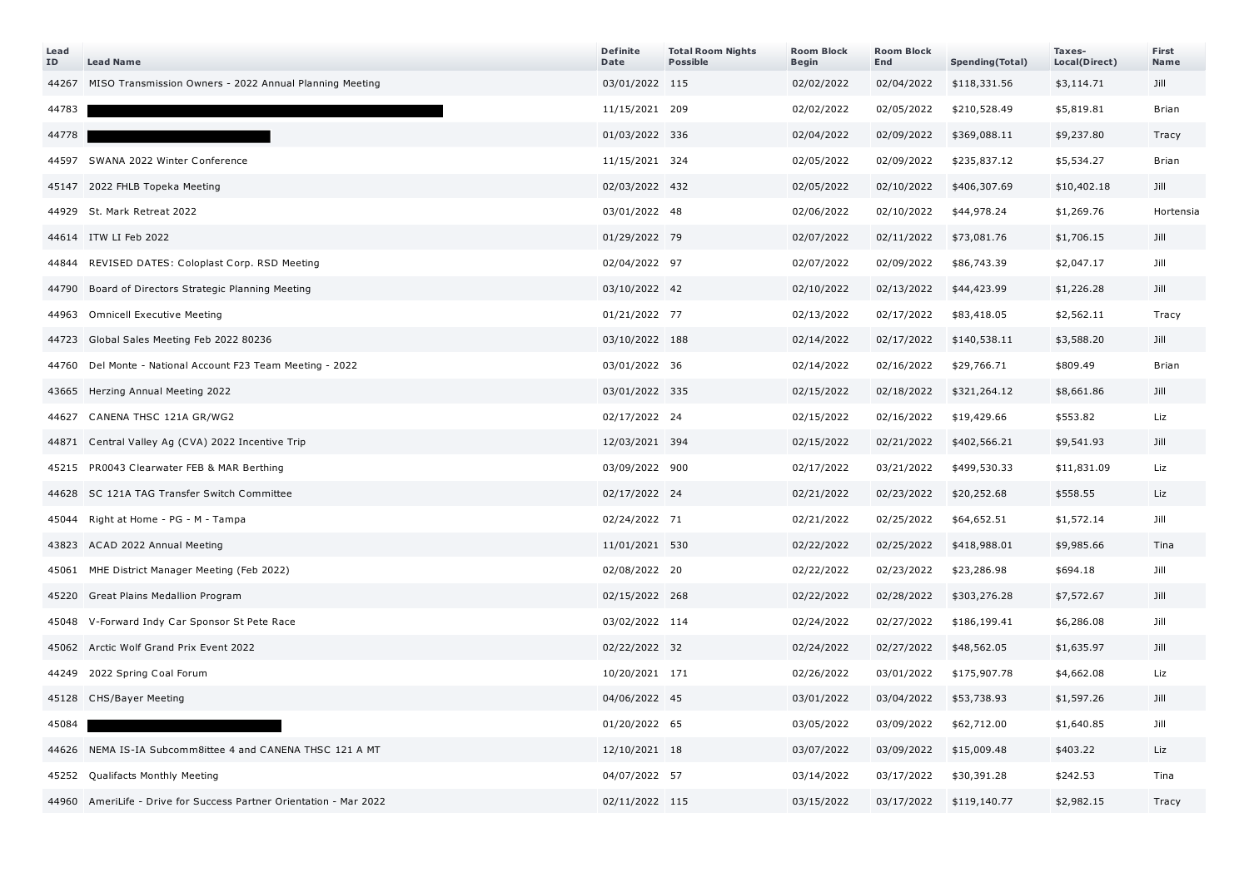| Lead<br>ID | <b>Lead Name</b>                                             | <b>Definite</b><br>Date | <b>Total Room Nights</b><br><b>Possible</b> | <b>Room Block</b><br>Begin | <b>Room Block</b><br>End | Spending(Total) | Taxes-<br>Local(Direct) | First<br>Name |
|------------|--------------------------------------------------------------|-------------------------|---------------------------------------------|----------------------------|--------------------------|-----------------|-------------------------|---------------|
| 44267      | MISO Transmission Owners - 2022 Annual Planning Meeting      | 03/01/2022 115          |                                             | 02/02/2022                 | 02/04/2022               | \$118,331.56    | \$3,114.71              | Jill          |
| 44783      |                                                              | 11/15/2021 209          |                                             | 02/02/2022                 | 02/05/2022               | \$210,528.49    | \$5,819.81              | <b>Brian</b>  |
| 44778      |                                                              | 01/03/2022 336          |                                             | 02/04/2022                 | 02/09/2022               | \$369,088.11    | \$9,237.80              | Tracy         |
| 44597      | SWANA 2022 Winter Conference                                 | 11/15/2021 324          |                                             | 02/05/2022                 | 02/09/2022               | \$235,837.12    | \$5,534.27              | <b>Brian</b>  |
| 45147      | 2022 FHLB Topeka Meeting                                     | 02/03/2022 432          |                                             | 02/05/2022                 | 02/10/2022               | \$406,307.69    | \$10,402.18             | Jill          |
| 44929      | St. Mark Retreat 2022                                        | 03/01/2022 48           |                                             | 02/06/2022                 | 02/10/2022               | \$44,978.24     | \$1,269.76              | Hortensia     |
|            | 44614 ITW LI Feb 2022                                        | 01/29/2022 79           |                                             | 02/07/2022                 | 02/11/2022               | \$73,081.76     | \$1,706.15              | Jill          |
| 44844      | REVISED DATES: Coloplast Corp. RSD Meeting                   | 02/04/2022 97           |                                             | 02/07/2022                 | 02/09/2022               | \$86,743.39     | \$2,047.17              | Jill          |
| 44790      | Board of Directors Strategic Planning Meeting                | 03/10/2022 42           |                                             | 02/10/2022                 | 02/13/2022               | \$44,423.99     | \$1,226.28              | Jill          |
| 44963      | <b>Omnicell Executive Meeting</b>                            | 01/21/2022 77           |                                             | 02/13/2022                 | 02/17/2022               | \$83,418.05     | \$2,562.11              | Tracy         |
| 44723      | Global Sales Meeting Feb 2022 80236                          | 03/10/2022 188          |                                             | 02/14/2022                 | 02/17/2022               | \$140,538.11    | \$3,588.20              | Jill          |
| 44760      | Del Monte - National Account F23 Team Meeting - 2022         | 03/01/2022 36           |                                             | 02/14/2022                 | 02/16/2022               | \$29,766.71     | \$809.49                | <b>Brian</b>  |
| 43665      | Herzing Annual Meeting 2022                                  | 03/01/2022 335          |                                             | 02/15/2022                 | 02/18/2022               | \$321,264.12    | \$8,661.86              | Jill          |
| 44627      | CANENA THSC 121A GR/WG2                                      | 02/17/2022 24           |                                             | 02/15/2022                 | 02/16/2022               | \$19,429.66     | \$553.82                | Liz           |
| 44871      | Central Valley Ag (CVA) 2022 Incentive Trip                  | 12/03/2021 394          |                                             | 02/15/2022                 | 02/21/2022               | \$402,566.21    | \$9,541.93              | Jill          |
| 45215      | PR0043 Clearwater FEB & MAR Berthing                         | 03/09/2022 900          |                                             | 02/17/2022                 | 03/21/2022               | \$499,530.33    | \$11,831.09             | Liz           |
| 44628      | SC 121A TAG Transfer Switch Committee                        | 02/17/2022 24           |                                             | 02/21/2022                 | 02/23/2022               | \$20,252.68     | \$558.55                | Liz           |
| 45044      | Right at Home - PG - M - Tampa                               | 02/24/2022 71           |                                             | 02/21/2022                 | 02/25/2022               | \$64,652.51     | \$1,572.14              | Jill          |
| 43823      | ACAD 2022 Annual Meeting                                     | 11/01/2021 530          |                                             | 02/22/2022                 | 02/25/2022               | \$418,988.01    | \$9,985.66              | Tina          |
| 45061      | MHE District Manager Meeting (Feb 2022)                      | 02/08/2022 20           |                                             | 02/22/2022                 | 02/23/2022               | \$23,286.98     | \$694.18                | Jill          |
| 45220      | Great Plains Medallion Program                               | 02/15/2022 268          |                                             | 02/22/2022                 | 02/28/2022               | \$303,276.28    | \$7,572.67              | Jill          |
| 45048      | V-Forward Indy Car Sponsor St Pete Race                      | 03/02/2022 114          |                                             | 02/24/2022                 | 02/27/2022               | \$186,199.41    | \$6,286.08              | Jill          |
| 45062      | Arctic Wolf Grand Prix Event 2022                            | 02/22/2022 32           |                                             | 02/24/2022                 | 02/27/2022               | \$48,562.05     | \$1,635.97              | Jill          |
| 44249      | 2022 Spring Coal Forum                                       | 10/20/2021 171          |                                             | 02/26/2022                 | 03/01/2022               | \$175,907.78    | \$4,662.08              | Liz           |
| 45128      | CHS/Bayer Meeting                                            | 04/06/2022 45           |                                             | 03/01/2022                 | 03/04/2022               | \$53,738.93     | \$1,597.26              | Jill          |
| 45084      |                                                              | 01/20/2022 65           |                                             | 03/05/2022                 | 03/09/2022               | \$62,712.00     | \$1,640.85              | Jill          |
| 44626      | NEMA IS-IA Subcomm8ittee 4 and CANENA THSC 121 A MT          | 12/10/2021 18           |                                             | 03/07/2022                 | 03/09/2022               | \$15,009.48     | \$403.22                | Liz           |
| 45252      | Qualifacts Monthly Meeting                                   | 04/07/2022 57           |                                             | 03/14/2022                 | 03/17/2022               | \$30,391.28     | \$242.53                | Tina          |
| 44960      | AmeriLife - Drive for Success Partner Orientation - Mar 2022 | 02/11/2022 115          |                                             | 03/15/2022                 | 03/17/2022               | \$119,140.77    | \$2,982.15              | Tracy         |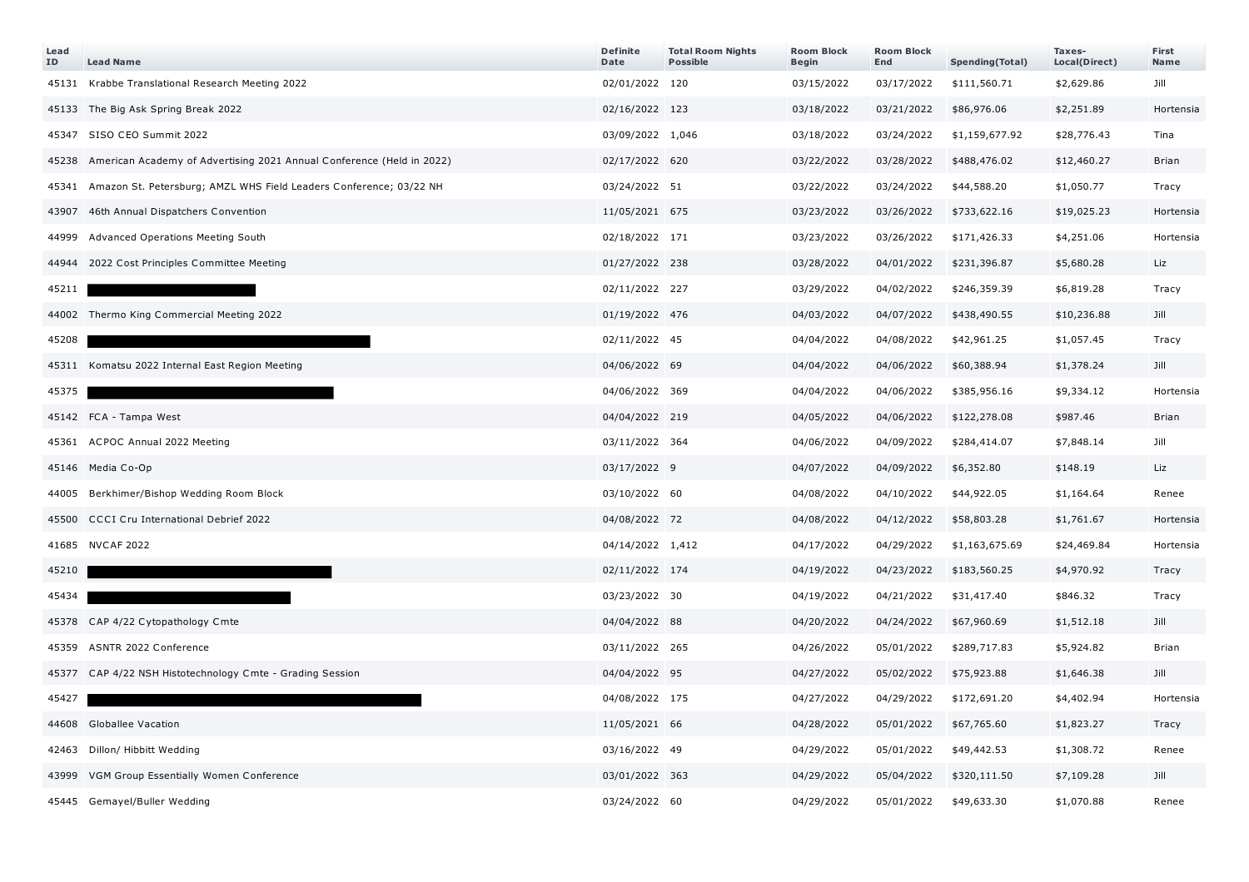| Lead<br>ID | <b>Lead Name</b>                                                            | <b>Definite</b><br>Date | <b>Total Room Nights</b><br><b>Possible</b> | <b>Room Block</b><br><b>Begin</b> | <b>Room Block</b><br>End | Spending(Total) | Taxes-<br>Local(Direct) | First<br>Name |
|------------|-----------------------------------------------------------------------------|-------------------------|---------------------------------------------|-----------------------------------|--------------------------|-----------------|-------------------------|---------------|
|            | 45131 Krabbe Translational Research Meeting 2022                            | 02/01/2022 120          |                                             | 03/15/2022                        | 03/17/2022               | \$111,560.71    | \$2,629.86              | Jill          |
|            | 45133 The Big Ask Spring Break 2022                                         | 02/16/2022 123          |                                             | 03/18/2022                        | 03/21/2022               | \$86,976.06     | \$2,251.89              | Hortensia     |
|            | 45347 SISO CEO Summit 2022                                                  | 03/09/2022 1,046        |                                             | 03/18/2022                        | 03/24/2022               | \$1,159,677.92  | \$28,776.43             | Tina          |
|            | 45238 American Academy of Advertising 2021 Annual Conference (Held in 2022) | 02/17/2022 620          |                                             | 03/22/2022                        | 03/28/2022               | \$488,476.02    | \$12,460.27             | Brian         |
|            | 45341 Amazon St. Petersburg; AMZL WHS Field Leaders Conference; 03/22 NH    | 03/24/2022 51           |                                             | 03/22/2022                        | 03/24/2022               | \$44,588.20     | \$1,050.77              | Tracy         |
| 43907      | 46th Annual Dispatchers Convention                                          | 11/05/2021 675          |                                             | 03/23/2022                        | 03/26/2022               | \$733,622.16    | \$19,025.23             | Hortensia     |
| 44999      | Advanced Operations Meeting South                                           | 02/18/2022 171          |                                             | 03/23/2022                        | 03/26/2022               | \$171,426.33    | \$4,251.06              | Hortensia     |
| 44944      | 2022 Cost Principles Committee Meeting                                      | 01/27/2022 238          |                                             | 03/28/2022                        | 04/01/2022               | \$231,396.87    | \$5,680.28              | Liz           |
| 45211      |                                                                             | 02/11/2022 227          |                                             | 03/29/2022                        | 04/02/2022               | \$246,359.39    | \$6,819.28              | Tracy         |
|            | 44002 Thermo King Commercial Meeting 2022                                   | 01/19/2022 476          |                                             | 04/03/2022                        | 04/07/2022               | \$438,490.55    | \$10,236.88             | Jill          |
| 45208      |                                                                             | 02/11/2022 45           |                                             | 04/04/2022                        | 04/08/2022               | \$42,961.25     | \$1,057.45              | Tracy         |
|            | 45311 Komatsu 2022 Internal East Region Meeting                             | 04/06/2022 69           |                                             | 04/04/2022                        | 04/06/2022               | \$60,388.94     | \$1,378.24              | Jill          |
| 45375      |                                                                             | 04/06/2022 369          |                                             | 04/04/2022                        | 04/06/2022               | \$385,956.16    | \$9,334.12              | Hortensia     |
|            | 45142 FCA - Tampa West                                                      | 04/04/2022 219          |                                             | 04/05/2022                        | 04/06/2022               | \$122,278.08    | \$987.46                | <b>Brian</b>  |
|            | 45361 ACPOC Annual 2022 Meeting                                             | 03/11/2022 364          |                                             | 04/06/2022                        | 04/09/2022               | \$284,414.07    | \$7,848.14              | Jill          |
|            | 45146 Media Co-Op                                                           | 03/17/2022 9            |                                             | 04/07/2022                        | 04/09/2022               | \$6,352.80      | \$148.19                | Liz           |
|            | 44005 Berkhimer/Bishop Wedding Room Block                                   | 03/10/2022 60           |                                             | 04/08/2022                        | 04/10/2022               | \$44,922.05     | \$1,164.64              | Renee         |
|            | 45500 CCCI Cru International Debrief 2022                                   | 04/08/2022 72           |                                             | 04/08/2022                        | 04/12/2022               | \$58,803.28     | \$1,761.67              | Hortensia     |
|            | 41685 NVCAF 2022                                                            | 04/14/2022 1,412        |                                             | 04/17/2022                        | 04/29/2022               | \$1,163,675.69  | \$24,469.84             | Hortensia     |
| 45210      |                                                                             | 02/11/2022 174          |                                             | 04/19/2022                        | 04/23/2022               | \$183,560.25    | \$4,970.92              | Tracy         |
| 45434      |                                                                             | 03/23/2022 30           |                                             | 04/19/2022                        | 04/21/2022               | \$31,417.40     | \$846.32                | Tracy         |
|            | 45378 CAP 4/22 Cytopathology Cmte                                           | 04/04/2022 88           |                                             | 04/20/2022                        | 04/24/2022               | \$67,960.69     | \$1,512.18              | Jill          |
|            | 45359 ASNTR 2022 Conference                                                 | 03/11/2022 265          |                                             | 04/26/2022                        | 05/01/2022               | \$289,717.83    | \$5,924.82              | <b>Brian</b>  |
|            | 45377 CAP 4/22 NSH Histotechnology Cmte - Grading Session                   | 04/04/2022 95           |                                             | 04/27/2022                        | 05/02/2022               | \$75,923.88     | \$1,646.38              | Jill          |
| 45427      |                                                                             | 04/08/2022 175          |                                             | 04/27/2022                        | 04/29/2022               | \$172,691.20    | \$4,402.94              | Hortensia     |
|            | 44608 Globallee Vacation                                                    | 11/05/2021 66           |                                             | 04/28/2022                        | 05/01/2022               | \$67,765.60     | \$1,823.27              | Tracy         |
|            | 42463 Dillon/ Hibbitt Wedding                                               | 03/16/2022 49           |                                             | 04/29/2022                        | 05/01/2022               | \$49,442.53     | \$1,308.72              | Renee         |
|            | 43999 VGM Group Essentially Women Conference                                | 03/01/2022 363          |                                             | 04/29/2022                        | 05/04/2022               | \$320,111.50    | \$7,109.28              | Jill          |
|            | 45445 Gemayel/Buller Wedding                                                | 03/24/2022 60           |                                             | 04/29/2022                        | 05/01/2022               | \$49,633.30     | \$1,070.88              | Renee         |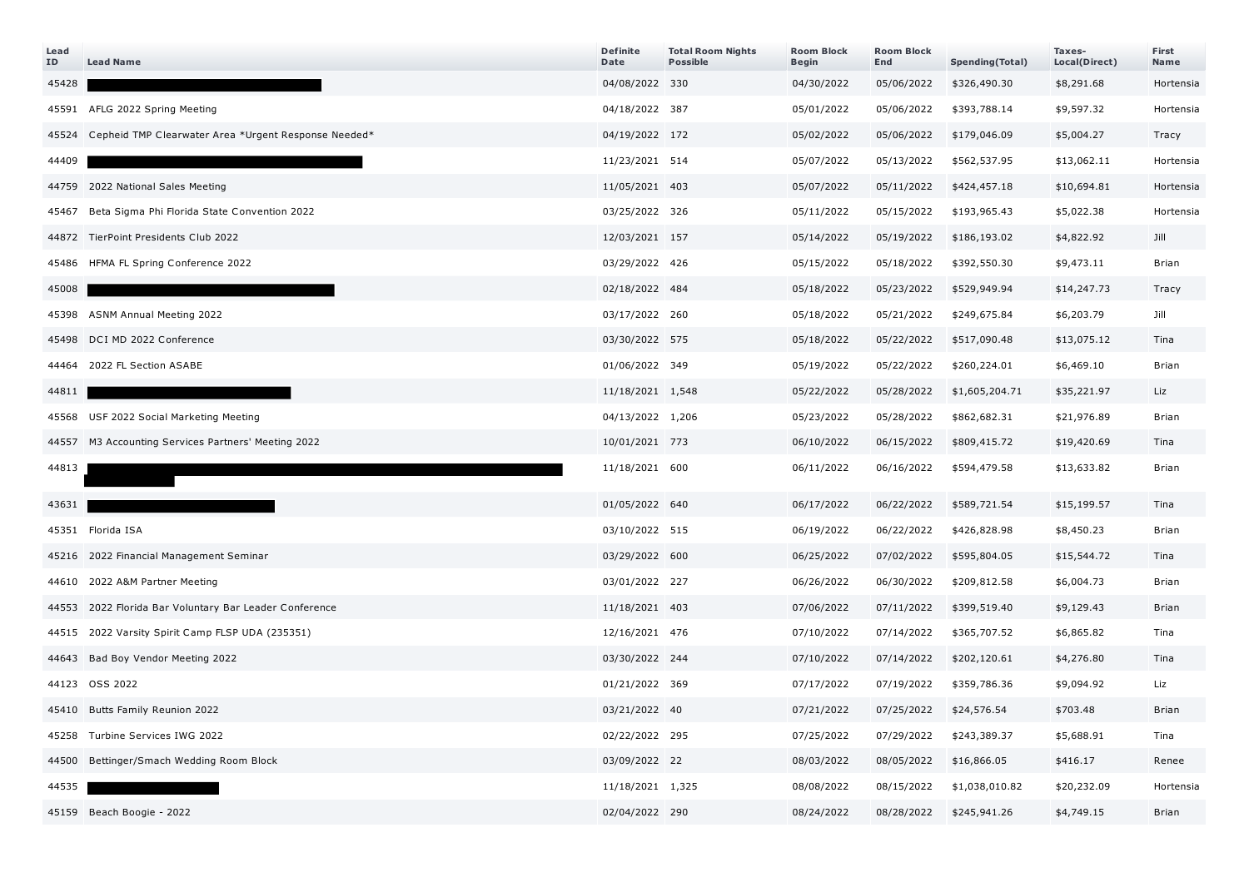| Lead<br>ID | <b>Lead Name</b>                                           | <b>Definite</b><br>Date | <b>Total Room Nights</b><br><b>Possible</b> | <b>Room Block</b><br>Begin | <b>Room Block</b><br>End | <b>Spending(Total)</b> | Taxes-<br>Local(Direct) | First<br>Name |
|------------|------------------------------------------------------------|-------------------------|---------------------------------------------|----------------------------|--------------------------|------------------------|-------------------------|---------------|
| 45428      |                                                            | 04/08/2022 330          |                                             | 04/30/2022                 | 05/06/2022               | \$326,490.30           | \$8,291.68              | Hortensia     |
|            | 45591 AFLG 2022 Spring Meeting                             | 04/18/2022 387          |                                             | 05/01/2022                 | 05/06/2022               | \$393,788.14           | \$9,597.32              | Hortensia     |
|            | 45524 Cepheid TMP Clearwater Area *Urgent Response Needed* | 04/19/2022 172          |                                             | 05/02/2022                 | 05/06/2022               | \$179,046.09           | \$5,004.27              | Tracy         |
| 44409      |                                                            | 11/23/2021 514          |                                             | 05/07/2022                 | 05/13/2022               | \$562,537.95           | \$13,062.11             | Hortensia     |
|            | 44759 2022 National Sales Meeting                          | 11/05/2021 403          |                                             | 05/07/2022                 | 05/11/2022               | \$424,457.18           | \$10,694.81             | Hortensia     |
|            | 45467 Beta Sigma Phi Florida State Convention 2022         | 03/25/2022 326          |                                             | 05/11/2022                 | 05/15/2022               | \$193,965.43           | \$5,022.38              | Hortensia     |
|            | 44872 TierPoint Presidents Club 2022                       | 12/03/2021 157          |                                             | 05/14/2022                 | 05/19/2022               | \$186,193.02           | \$4,822.92              | Jill          |
|            | 45486 HFMA FL Spring Conference 2022                       | 03/29/2022 426          |                                             | 05/15/2022                 | 05/18/2022               | \$392,550.30           | \$9,473.11              | Brian         |
| 45008      |                                                            | 02/18/2022 484          |                                             | 05/18/2022                 | 05/23/2022               | \$529,949.94           | \$14,247.73             | Tracy         |
|            | 45398 ASNM Annual Meeting 2022                             | 03/17/2022 260          |                                             | 05/18/2022                 | 05/21/2022               | \$249,675.84           | \$6,203.79              | Jill          |
|            | 45498 DCI MD 2022 Conference                               | 03/30/2022 575          |                                             | 05/18/2022                 | 05/22/2022               | \$517,090.48           | \$13,075.12             | Tina          |
|            | 44464 2022 FL Section ASABE                                | 01/06/2022 349          |                                             | 05/19/2022                 | 05/22/2022               | \$260,224.01           | \$6,469.10              | <b>Brian</b>  |
| 44811      |                                                            | 11/18/2021 1,548        |                                             | 05/22/2022                 | 05/28/2022               | \$1,605,204.71         | \$35,221.97             | Liz           |
|            | 45568 USF 2022 Social Marketing Meeting                    | 04/13/2022 1,206        |                                             | 05/23/2022                 | 05/28/2022               | \$862,682.31           | \$21,976.89             | <b>Brian</b>  |
|            | 44557 M3 Accounting Services Partners' Meeting 2022        | 10/01/2021 773          |                                             | 06/10/2022                 | 06/15/2022               | \$809,415.72           | \$19,420.69             | Tina          |
| 44813      |                                                            | 11/18/2021 600          |                                             | 06/11/2022                 | 06/16/2022               | \$594,479.58           | \$13,633.82             | <b>Brian</b>  |
| 43631      |                                                            | 01/05/2022 640          |                                             | 06/17/2022                 | 06/22/2022               | \$589,721.54           | \$15,199.57             | Tina          |
|            | 45351 Florida ISA                                          | 03/10/2022 515          |                                             | 06/19/2022                 | 06/22/2022               | \$426,828.98           | \$8,450.23              | <b>Brian</b>  |
|            | 45216 2022 Financial Management Seminar                    | 03/29/2022 600          |                                             | 06/25/2022                 | 07/02/2022               | \$595,804.05           | \$15,544.72             | Tina          |
|            | 44610 2022 A&M Partner Meeting                             | 03/01/2022 227          |                                             | 06/26/2022                 | 06/30/2022               | \$209,812.58           | \$6,004.73              | Brian         |
|            | 44553 2022 Florida Bar Voluntary Bar Leader Conference     | 11/18/2021 403          |                                             | 07/06/2022                 | 07/11/2022               | \$399,519.40           | \$9,129.43              | Brian         |
|            | 44515 2022 Varsity Spirit Camp FLSP UDA (235351)           | 12/16/2021 476          |                                             | 07/10/2022                 | 07/14/2022               | \$365,707.52           | \$6,865.82              | Tina          |
|            | 44643 Bad Boy Vendor Meeting 2022                          | 03/30/2022 244          |                                             | 07/10/2022                 | 07/14/2022               | \$202,120.61           | \$4,276.80              | Tina          |
|            | 44123 OSS 2022                                             | 01/21/2022 369          |                                             | 07/17/2022                 | 07/19/2022               | \$359,786.36           | \$9,094.92              | Liz           |
|            | 45410 Butts Family Reunion 2022                            | 03/21/2022 40           |                                             | 07/21/2022                 | 07/25/2022               | \$24,576.54            | \$703.48                | Brian         |
|            | 45258 Turbine Services IWG 2022                            | 02/22/2022 295          |                                             | 07/25/2022                 | 07/29/2022               | \$243,389.37           | \$5,688.91              | Tina          |
|            | 44500 Bettinger/Smach Wedding Room Block                   | 03/09/2022 22           |                                             | 08/03/2022                 | 08/05/2022               | \$16,866.05            | \$416.17                | Renee         |
| 44535      |                                                            | 11/18/2021 1,325        |                                             | 08/08/2022                 | 08/15/2022               | \$1,038,010.82         | \$20,232.09             | Hortensia     |
|            | 45159 Beach Boogie - 2022                                  | 02/04/2022 290          |                                             | 08/24/2022                 | 08/28/2022               | \$245,941.26           | \$4,749.15              | Brian         |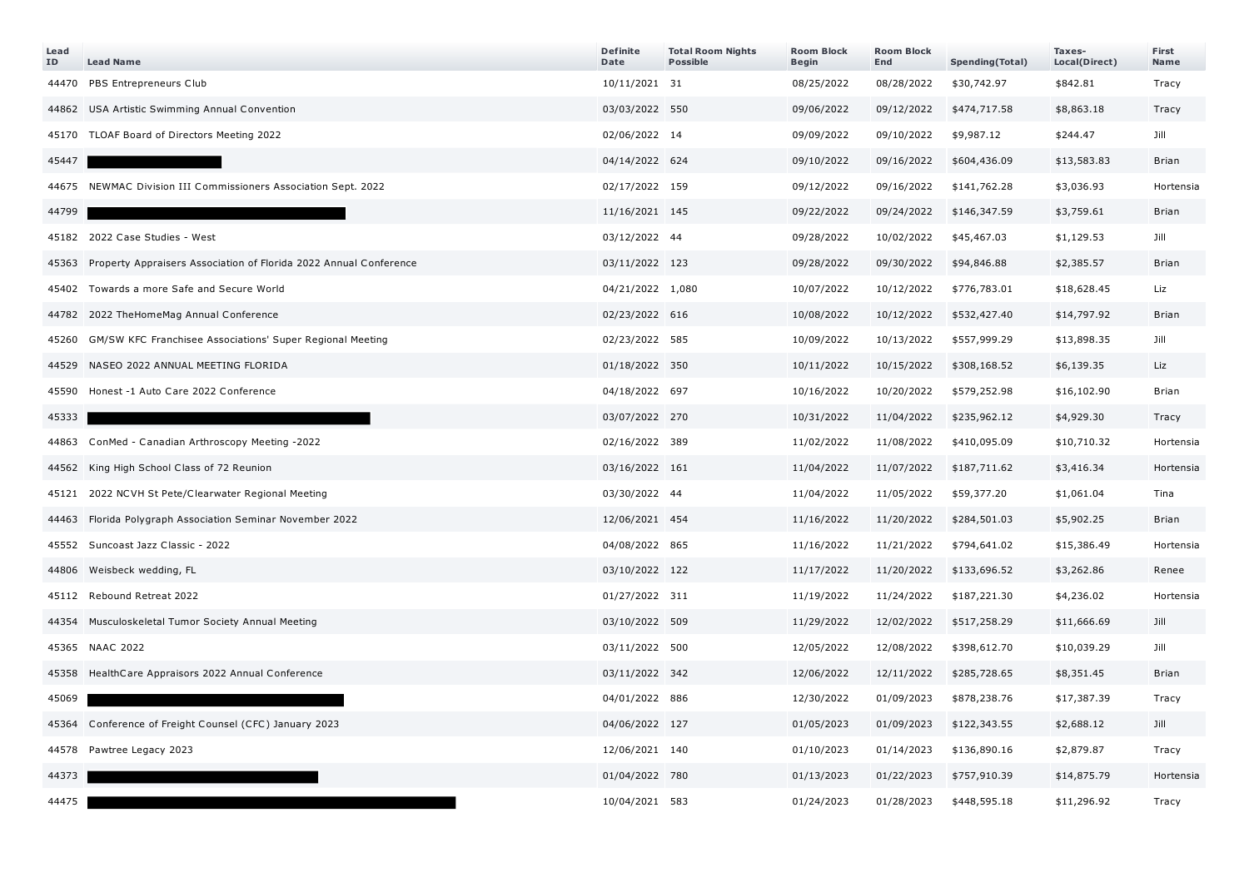| Lead<br>ID | <b>Lead Name</b>                                                  | <b>Definite</b><br>Date | <b>Total Room Nights</b><br><b>Possible</b> | <b>Room Block</b><br><b>Begin</b> | <b>Room Block</b><br>End | Spending(Total) | Taxes-<br>Local(Direct) | First<br><b>Name</b> |
|------------|-------------------------------------------------------------------|-------------------------|---------------------------------------------|-----------------------------------|--------------------------|-----------------|-------------------------|----------------------|
| 44470      | PBS Entrepreneurs Club                                            | 10/11/2021 31           |                                             | 08/25/2022                        | 08/28/2022               | \$30,742.97     | \$842.81                | Tracy                |
|            | 44862 USA Artistic Swimming Annual Convention                     | 03/03/2022 550          |                                             | 09/06/2022                        | 09/12/2022               | \$474,717.58    | \$8,863.18              | Tracy                |
|            | 45170 TLOAF Board of Directors Meeting 2022                       | 02/06/2022 14           |                                             | 09/09/2022                        | 09/10/2022               | \$9,987.12      | \$244.47                | Jill                 |
| 45447      |                                                                   | 04/14/2022 624          |                                             | 09/10/2022                        | 09/16/2022               | \$604,436.09    | \$13,583.83             | <b>Brian</b>         |
|            | 44675 NEWMAC Division III Commissioners Association Sept. 2022    | 02/17/2022 159          |                                             | 09/12/2022                        | 09/16/2022               | \$141,762.28    | \$3,036.93              | Hortensia            |
| 44799      |                                                                   | 11/16/2021 145          |                                             | 09/22/2022                        | 09/24/2022               | \$146,347.59    | \$3,759.61              | <b>Brian</b>         |
|            | 45182 2022 Case Studies - West                                    | 03/12/2022 44           |                                             | 09/28/2022                        | 10/02/2022               | \$45,467.03     | \$1,129.53              | Jill                 |
| 45363      | Property Appraisers Association of Florida 2022 Annual Conference | 03/11/2022 123          |                                             | 09/28/2022                        | 09/30/2022               | \$94,846.88     | \$2,385.57              | <b>Brian</b>         |
|            | 45402 Towards a more Safe and Secure World                        | 04/21/2022 1,080        |                                             | 10/07/2022                        | 10/12/2022               | \$776,783.01    | \$18,628.45             | Liz                  |
|            | 44782 2022 TheHomeMag Annual Conference                           | 02/23/2022 616          |                                             | 10/08/2022                        | 10/12/2022               | \$532,427.40    | \$14,797.92             | <b>Brian</b>         |
| 45260      | GM/SW KFC Franchisee Associations' Super Regional Meeting         | 02/23/2022 585          |                                             | 10/09/2022                        | 10/13/2022               | \$557,999.29    | \$13,898.35             | Jill                 |
| 44529      | NASEO 2022 ANNUAL MEETING FLORIDA                                 | 01/18/2022 350          |                                             | 10/11/2022                        | 10/15/2022               | \$308,168.52    | \$6,139.35              | Liz                  |
| 45590      | Honest -1 Auto Care 2022 Conference                               | 04/18/2022 697          |                                             | 10/16/2022                        | 10/20/2022               | \$579,252.98    | \$16,102.90             | <b>Brian</b>         |
| 45333      |                                                                   | 03/07/2022 270          |                                             | 10/31/2022                        | 11/04/2022               | \$235,962.12    | \$4,929.30              | Tracy                |
|            | 44863 ConMed - Canadian Arthroscopy Meeting -2022                 | 02/16/2022 389          |                                             | 11/02/2022                        | 11/08/2022               | \$410,095.09    | \$10,710.32             | Hortensia            |
| 44562      | King High School Class of 72 Reunion                              | 03/16/2022 161          |                                             | 11/04/2022                        | 11/07/2022               | \$187,711.62    | \$3,416.34              | Hortensia            |
|            | 45121 2022 NCVH St Pete/Clearwater Regional Meeting               | 03/30/2022 44           |                                             | 11/04/2022                        | 11/05/2022               | \$59,377.20     | \$1,061.04              | Tina                 |
| 44463      | Florida Polygraph Association Seminar November 2022               | 12/06/2021 454          |                                             | 11/16/2022                        | 11/20/2022               | \$284,501.03    | \$5,902.25              | <b>Brian</b>         |
|            | 45552 Suncoast Jazz Classic - 2022                                | 04/08/2022 865          |                                             | 11/16/2022                        | 11/21/2022               | \$794,641.02    | \$15,386.49             | Hortensia            |
| 44806      | Weisbeck wedding, FL                                              | 03/10/2022 122          |                                             | 11/17/2022                        | 11/20/2022               | \$133,696.52    | \$3,262.86              | Renee                |
| 45112      | Rebound Retreat 2022                                              | 01/27/2022 311          |                                             | 11/19/2022                        | 11/24/2022               | \$187,221.30    | \$4,236.02              | Hortensia            |
| 44354      | Musculoskeletal Tumor Society Annual Meeting                      | 03/10/2022 509          |                                             | 11/29/2022                        | 12/02/2022               | \$517,258.29    | \$11,666.69             | Jill                 |
|            | 45365 NAAC 2022                                                   | 03/11/2022 500          |                                             | 12/05/2022                        | 12/08/2022               | \$398,612.70    | \$10,039.29             | Jill                 |
| 45358      | HealthCare Appraisors 2022 Annual Conference                      | 03/11/2022 342          |                                             | 12/06/2022                        | 12/11/2022               | \$285,728.65    | \$8,351.45              | <b>Brian</b>         |
| 45069      |                                                                   | 04/01/2022 886          |                                             | 12/30/2022                        | 01/09/2023               | \$878,238.76    | \$17,387.39             | Tracy                |
| 45364      | Conference of Freight Counsel (CFC) January 2023                  | 04/06/2022 127          |                                             | 01/05/2023                        | 01/09/2023               | \$122,343.55    | \$2,688.12              | Jill                 |
|            | 44578 Pawtree Legacy 2023                                         | 12/06/2021 140          |                                             | 01/10/2023                        | 01/14/2023               | \$136,890.16    | \$2,879.87              | Tracy                |
| 44373      |                                                                   | 01/04/2022 780          |                                             | 01/13/2023                        | 01/22/2023               | \$757,910.39    | \$14,875.79             | Hortensia            |
| 44475      |                                                                   | 10/04/2021 583          |                                             | 01/24/2023                        | 01/28/2023               | \$448,595.18    | \$11,296.92             | Tracy                |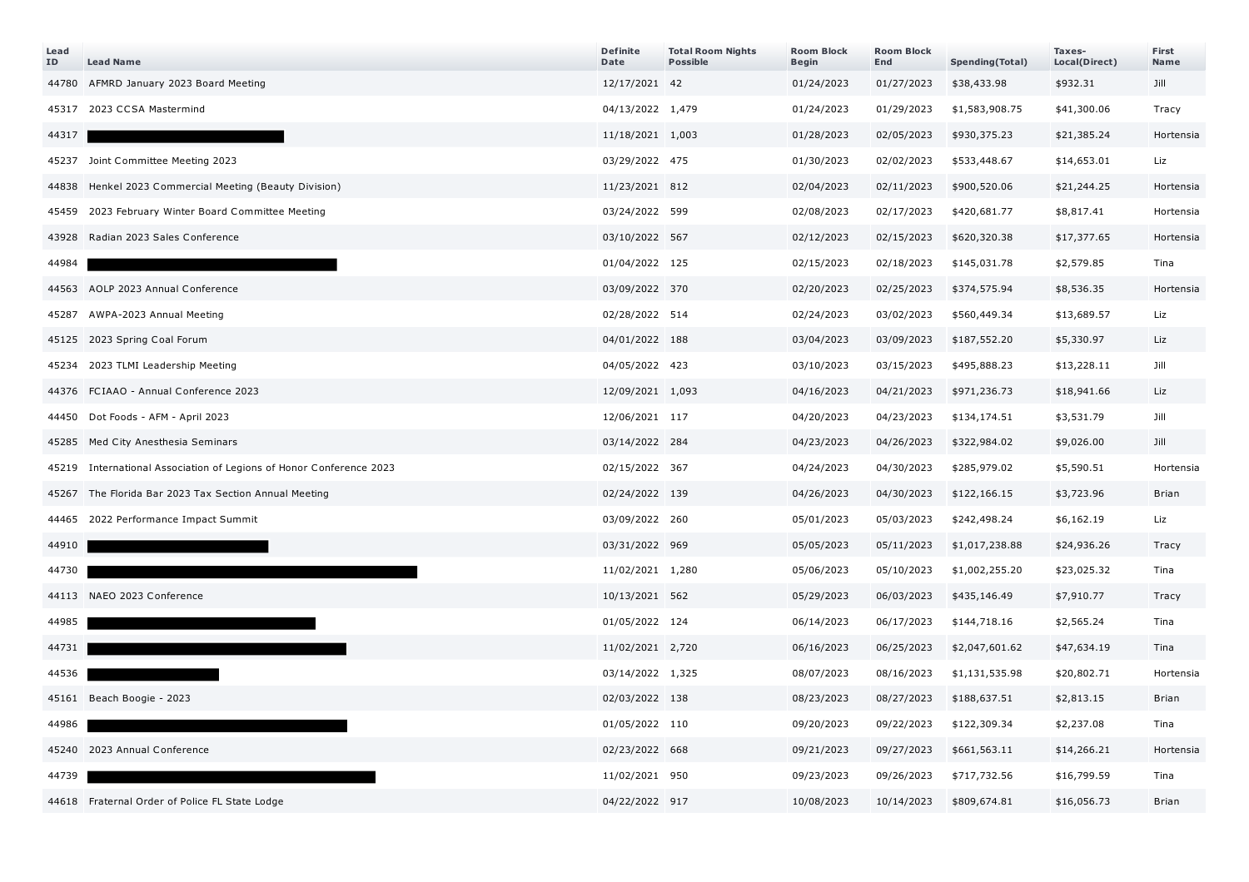| Lead<br>ID | <b>Lead Name</b>                                              | <b>Definite</b><br>Date | <b>Total Room Nights</b><br><b>Possible</b> | <b>Room Block</b><br>Begin | <b>Room Block</b><br>End | Spending(Total) | Taxes-<br>Local(Direct) | First<br>Name |
|------------|---------------------------------------------------------------|-------------------------|---------------------------------------------|----------------------------|--------------------------|-----------------|-------------------------|---------------|
| 44780      | AFMRD January 2023 Board Meeting                              | 12/17/2021 42           |                                             | 01/24/2023                 | 01/27/2023               | \$38,433.98     | \$932.31                | Jill          |
| 45317      | 2023 CCSA Mastermind                                          | 04/13/2022 1,479        |                                             | 01/24/2023                 | 01/29/2023               | \$1,583,908.75  | \$41,300.06             | Tracy         |
| 44317      |                                                               | 11/18/2021 1,003        |                                             | 01/28/2023                 | 02/05/2023               | \$930,375.23    | \$21,385.24             | Hortensia     |
| 45237      | Joint Committee Meeting 2023                                  | 03/29/2022 475          |                                             | 01/30/2023                 | 02/02/2023               | \$533,448.67    | \$14,653.01             | Liz           |
| 44838      | Henkel 2023 Commercial Meeting (Beauty Division)              | 11/23/2021 812          |                                             | 02/04/2023                 | 02/11/2023               | \$900,520.06    | \$21,244.25             | Hortensia     |
| 45459      | 2023 February Winter Board Committee Meeting                  | 03/24/2022 599          |                                             | 02/08/2023                 | 02/17/2023               | \$420,681.77    | \$8,817.41              | Hortensia     |
| 43928      | Radian 2023 Sales Conference                                  | 03/10/2022 567          |                                             | 02/12/2023                 | 02/15/2023               | \$620,320.38    | \$17,377.65             | Hortensia     |
| 44984      |                                                               | 01/04/2022 125          |                                             | 02/15/2023                 | 02/18/2023               | \$145,031.78    | \$2,579.85              | Tina          |
| 44563      | AOLP 2023 Annual Conference                                   | 03/09/2022 370          |                                             | 02/20/2023                 | 02/25/2023               | \$374,575.94    | \$8,536.35              | Hortensia     |
| 45287      | AWPA-2023 Annual Meeting                                      | 02/28/2022 514          |                                             | 02/24/2023                 | 03/02/2023               | \$560,449.34    | \$13,689.57             | Liz           |
| 45125      | 2023 Spring Coal Forum                                        | 04/01/2022 188          |                                             | 03/04/2023                 | 03/09/2023               | \$187,552.20    | \$5,330.97              | Liz           |
| 45234      | 2023 TLMI Leadership Meeting                                  | 04/05/2022 423          |                                             | 03/10/2023                 | 03/15/2023               | \$495,888.23    | \$13,228.11             | Jill          |
| 44376      | FCIAAO - Annual Conference 2023                               | 12/09/2021 1,093        |                                             | 04/16/2023                 | 04/21/2023               | \$971,236.73    | \$18,941.66             | Liz           |
| 44450      | Dot Foods - AFM - April 2023                                  | 12/06/2021 117          |                                             | 04/20/2023                 | 04/23/2023               | \$134,174.51    | \$3,531.79              | Jill          |
| 45285      | Med City Anesthesia Seminars                                  | 03/14/2022 284          |                                             | 04/23/2023                 | 04/26/2023               | \$322,984.02    | \$9,026.00              | Jill          |
| 45219      | International Association of Legions of Honor Conference 2023 | 02/15/2022 367          |                                             | 04/24/2023                 | 04/30/2023               | \$285,979.02    | \$5,590.51              | Hortensia     |
| 45267      | The Florida Bar 2023 Tax Section Annual Meeting               | 02/24/2022 139          |                                             | 04/26/2023                 | 04/30/2023               | \$122,166.15    | \$3,723.96              | <b>Brian</b>  |
|            | 44465 2022 Performance Impact Summit                          | 03/09/2022 260          |                                             | 05/01/2023                 | 05/03/2023               | \$242,498.24    | \$6,162.19              | Liz           |
| 44910      |                                                               | 03/31/2022 969          |                                             | 05/05/2023                 | 05/11/2023               | \$1,017,238.88  | \$24,936.26             | Tracy         |
| 44730      |                                                               | 11/02/2021 1,280        |                                             | 05/06/2023                 | 05/10/2023               | \$1,002,255.20  | \$23,025.32             | Tina          |
|            | 44113 NAEO 2023 Conference                                    | 10/13/2021 562          |                                             | 05/29/2023                 | 06/03/2023               | \$435,146.49    | \$7,910.77              | Tracy         |
| 44985      |                                                               | 01/05/2022 124          |                                             | 06/14/2023                 | 06/17/2023               | \$144,718.16    | \$2,565.24              | Tina          |
| 44731      |                                                               | 11/02/2021 2,720        |                                             | 06/16/2023                 | 06/25/2023               | \$2,047,601.62  | \$47,634.19             | Tina          |
| 44536      |                                                               | 03/14/2022 1,325        |                                             | 08/07/2023                 | 08/16/2023               | \$1,131,535.98  | \$20,802.71             | Hortensia     |
|            | 45161 Beach Boogie - 2023                                     | 02/03/2022 138          |                                             | 08/23/2023                 | 08/27/2023               | \$188,637.51    | \$2,813.15              | Brian         |
| 44986      |                                                               | 01/05/2022 110          |                                             | 09/20/2023                 | 09/22/2023               | \$122,309.34    | \$2,237.08              | Tina          |
|            | 45240 2023 Annual Conference                                  | 02/23/2022 668          |                                             | 09/21/2023                 | 09/27/2023               | \$661,563.11    | \$14,266.21             | Hortensia     |
| 44739      |                                                               | 11/02/2021 950          |                                             | 09/23/2023                 | 09/26/2023               | \$717,732.56    | \$16,799.59             | Tina          |
|            | 44618 Fraternal Order of Police FL State Lodge                | 04/22/2022 917          |                                             | 10/08/2023                 | 10/14/2023               | \$809,674.81    | \$16,056.73             | <b>Brian</b>  |